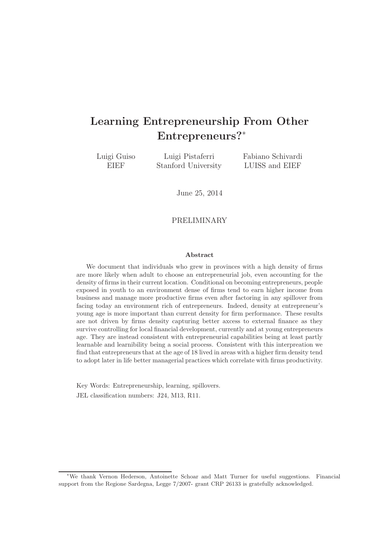# Learning Entrepreneurship From Other Entrepreneurs?<sup>∗</sup>

Luigi Guiso EIEF

Luigi Pistaferri Stanford University Fabiano Schivardi LUISS and EIEF

June 25, 2014

### PRELIMINARY

#### Abstract

We document that individuals who grew in provinces with a high density of firms are more likely when adult to choose an entrepreneurial job, even accounting for the density of firms in their current location. Conditional on becoming entrepreneurs, people exposed in youth to an environment dense of firms tend to earn higher income from business and manage more productive firms even after factoring in any spillover from facing today an environment rich of entrepreneurs. Indeed, density at entrepreneur's young age is more important than current density for firm performance. These results are not driven by firms density capturing better axcess to external finance as they survive controlling for local financial development, currently and at young entrepreneurs age. They are instead consistent with entrepreneurial capabilities being at least partly learnable and learnibility being a social process. Consistent with this interpreation we find that entrepreneurs that at the age of 18 lived in areas with a higher firm density tend to adopt later in life better managerial practices which correlate with firms productivity.

Key Words: Entrepreneurship, learning, spillovers. JEL classification numbers: J24, M13, R11.

<sup>∗</sup>We thank Vernon Hederson, Antoinette Schoar and Matt Turner for useful suggestions. Financial support from the Regione Sardegna, Legge 7/2007- grant CRP 26133 is gratefully acknowledged.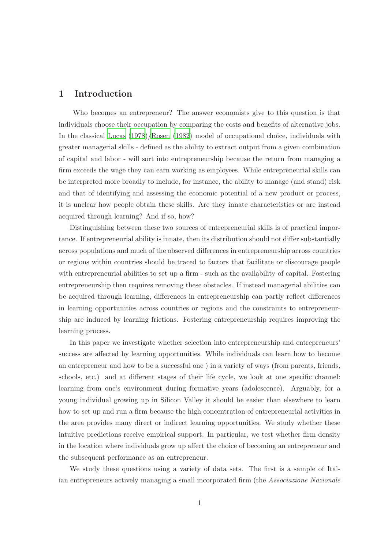# 1 Introduction

Who becomes an entrepreneur? The answer economists give to this question is that individuals choose their occupation by comparing the costs and benefits of alternative jobs. In the classical [Lucas \(1978](#page-31-0))[/Rosen \(1982\)](#page-31-1) model of occupational choice, individuals with greater managerial skills - defined as the ability to extract output from a given combination of capital and labor - will sort into entrepreneurship because the return from managing a firm exceeds the wage they can earn working as employees. While entrepreneurial skills can be interpreted more broadly to include, for instance, the ability to manage (and stand) risk and that of identifying and assessing the economic potential of a new product or process, it is unclear how people obtain these skills. Are they innate characteristics or are instead acquired through learning? And if so, how?

Distinguishing between these two sources of entrepreneurial skills is of practical importance. If entrepreneurial ability is innate, then its distribution should not differ substantially across populations and much of the observed differences in entrepreneurship across countries or regions within countries should be traced to factors that facilitate or discourage people with entrepreneurial abilities to set up a firm - such as the availability of capital. Fostering entrepreneurship then requires removing these obstacles. If instead managerial abilities can be acquired through learning, differences in entrepreneurship can partly reflect differences in learning opportunities across countries or regions and the constraints to entrepreneurship are induced by learning frictions. Fostering entrepreneurship requires improving the learning process.

In this paper we investigate whether selection into entrepreneurship and entrepreneurs' success are affected by learning opportunities. While individuals can learn how to become an entrepreneur and how to be a successful one ) in a variety of ways (from parents, friends, schools, etc.) and at different stages of their life cycle, we look at one specific channel: learning from one's environment during formative years (adolescence). Arguably, for a young individual growing up in Silicon Valley it should be easier than elsewhere to learn how to set up and run a firm because the high concentration of entrepreneurial activities in the area provides many direct or indirect learning opportunities. We study whether these intuitive predictions receive empirical support. In particular, we test whether firm density in the location where individuals grow up affect the choice of becoming an entrepreneur and the subsequent performance as an entrepreneur.

We study these questions using a variety of data sets. The first is a sample of Italian entrepreneurs actively managing a small incorporated firm (the *Associazione Nazionale*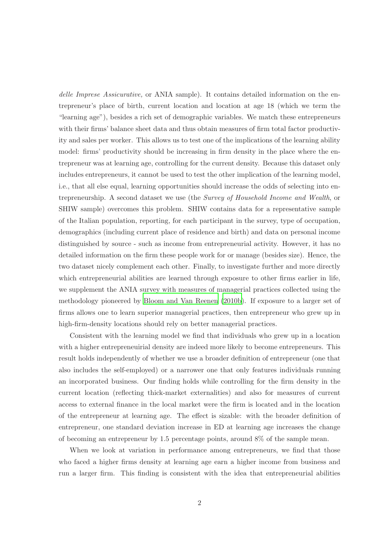*delle Imprese Assicurative,* or ANIA sample). It contains detailed information on the entrepreneur's place of birth, current location and location at age 18 (which we term the "learning age"), besides a rich set of demographic variables. We match these entrepreneurs with their firms' balance sheet data and thus obtain measures of firm total factor productivity and sales per worker. This allows us to test one of the implications of the learning ability model: firms' productivity should be increasing in firm density in the place where the entrepreneur was at learning age, controlling for the current density. Because this dataset only includes entrepreneurs, it cannot be used to test the other implication of the learning model, i.e., that all else equal, learning opportunities should increase the odds of selecting into entrepreneurship. A second dataset we use (the *Survey of Household Income and Wealth*, or SHIW sample) overcomes this problem. SHIW contains data for a representative sample of the Italian population, reporting, for each participant in the survey, type of occupation, demographics (including current place of residence and birth) and data on personal income distinguished by source - such as income from entrepreneurial activity. However, it has no detailed information on the firm these people work for or manage (besides size). Hence, the two dataset nicely complement each other. Finally, to investigate further and more directly which entrepreneurial abilities are learned through exposure to other firms earlier in life, we supplement the ANIA survey with measures of managerial practices collected using the methodology pioneered by [Bloom and Van Reenen \(2010b](#page-29-0)). If exposure to a larger set of firms allows one to learn superior managerial practices, then entrepreneur who grew up in high-firm-density locations should rely on better managerial practices.

Consistent with the learning model we find that individuals who grew up in a location with a higher entrepreneuirial density are indeed more likely to become entrepreneurs. This result holds independently of whether we use a broader definition of entrepreneur (one that also includes the self-employed) or a narrower one that only features individuals running an incorporated business. Our finding holds while controlling for the firm density in the current location (reflecting thick-market externalities) and also for measures of current access to external finance in the local market were the firm is located and in the location of the entrepreneur at learning age. The effect is sizable: with the broader definition of entrepreneur, one standard deviation increase in ED at learning age increases the change of becoming an entrepreneur by 1.5 percentage points, around 8% of the sample mean.

When we look at variation in performance among entrepreneurs, we find that those who faced a higher firms density at learning age earn a higher income from business and run a larger firm. This finding is consistent with the idea that entrepreneurial abilities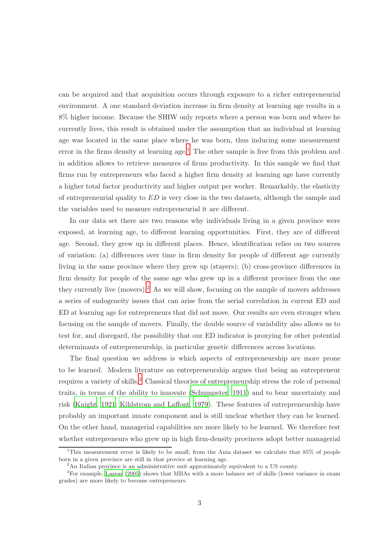can be acquired and that acquisition occurs through exposure to a richer entrepreneurial environment. A one standard deviation increase in firm density at learning age results in a 8% higher income. Because the SHIW only reports where a person was born and where he currently lives, this result is obtained under the assumption that an individual at learning age was located in the same place where he was born, thus inducing some measurement error in the firms density at learning age.<sup>[1](#page-3-0)</sup> The other sample is free from this problem and in addition allows to retrieve measures of firms productivity. In this sample we find that firms run by entrepreneurs who faced a higher firm density at learning age have currently a higher total factor productivity and higher output per worker. Remarkably, the elasticity of entrepreneurial quality to ED is very close in the two datasets, although the sample and the variables used to measure entrepreneurial it are different.

In our data set there are two reasons why individuals living in a given province were exposed, at learning age, to different learning opportunities. First, they are of different age. Second, they grew up in different places. Hence, identification relies on two sources of variation: (a) differences over time in firm density for people of different age currently living in the same province where they grew up (stayers); (b) cross-province differences in firm density for people of the same age who grew up in a different province from the one they currently live (movers).[2](#page-3-1) As we will show, focusing on the sample of movers addresses a series of endogeneity issues that can arise from the serial correlation in current ED and ED at learning age for entrepreneurs that did not move. Our results are even stronger when focusing on the sample of movers. Finally, the double source of variability also allows us to test for, and disregard, the possibility that our ED indicator is proxying for other potential determinants of entrepreneurship, in particular genetic differences across locations.

The final question we address is which aspects of entrepreneurship are more prone to be learned. Modern literature on entrepreneurship argues that being an entrepreneur requires a variety of skills.<sup>[3](#page-3-2)</sup> Classical theories of entrepreneurship stress the role of personal traits, in terms of the ability to innovate [\(Schumpeter, 1911](#page-31-2)) and to bear uncertainty and risk [\(Knight](#page-30-0), [1921;](#page-30-0) [Kihlstrom and Laffont, 1979](#page-30-1)). These features of entrepreneurship have probably an important innate component and is still unclear whether they can be learned. On the other hand, managerial capabilities are more likely to be learned. We therefore test whether entrepreneurs who grew up in high firm-density provinces adopt better managerial

<sup>1</sup>This measurement error is likely to be small; from the Ania dataset we calculate that 85% of people born in a given province are still in that provice at learning age.

<span id="page-3-1"></span><span id="page-3-0"></span><sup>2</sup>An Italian province is an administrative unit approximately equivalent to a US county.

<span id="page-3-2"></span><sup>3</sup>For example, [Lazear \(2005](#page-31-3)) shows that MBAs with a more balance set of skills (lower variance in exam grades) are more likely to become entrepreneurs.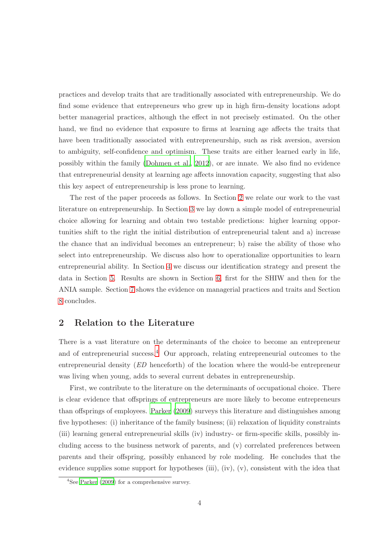practices and develop traits that are traditionally associated with entrepreneurship. We do find some evidence that entrepreneurs who grew up in high firm-density locations adopt better managerial practices, although the effect in not precisely estimated. On the other hand, we find no evidence that exposure to firms at learning age affects the traits that have been traditionally associated with entrepreneurship, such as risk aversion, aversion to ambiguity, self-confidence and optimism. These traits are either learned early in life, possibly within the family [\(Dohmen et al., 2012\)](#page-29-1), or are innate. We also find no evidence that entrepreneurial density at learning age affects innovation capacity, suggesting that also this key aspect of entrepreneurship is less prone to learning.

The rest of the paper proceeds as follows. In Section [2](#page-4-0) we relate our work to the vast literature on entrepreneurship. In Section [3](#page-6-0) we lay down a simple model of entrepreneurial choice allowing for learning and obtain two testable predictions: higher learning opportunities shift to the right the initial distribution of entrepreneurial talent and a) increase the chance that an individual becomes an entrepreneur; b) raise the ability of those who select into entrepreneurship. We discuss also how to operationalize opportunities to learn entrepreneurial ability. In Section [4](#page-10-0) we discuss our identification strategy and present the data in Section [5.](#page-13-0) Results are shown in Section [6,](#page-17-0) first for the SHIW and then for the ANIA sample. Section [7](#page-24-0) shows the evidence on managerial practices and traits and Section [8](#page-28-0) concludes.

# <span id="page-4-0"></span>2 Relation to the Literature

There is a vast literature on the determinants of the choice to become an entrepreneur and of entrepreneurial success.[4](#page-4-1) Our approach, relating entrepreneurial outcomes to the entrepreneurial density (*ED* henceforth) of the location where the would-be entrepreneur was living when young, adds to several current debates in entrepreneurship.

First, we contribute to the literature on the determinants of occupational choice. There is clear evidence that offsprings of entrepreneurs are more likely to become entrepreneurs than offsprings of employees. [Parker \(2009](#page-31-4)) surveys this literature and distinguishes among five hypotheses: (i) inheritance of the family business; (ii) relaxation of liquidity constraints (iii) learning general entrepreneurial skills (iv) industry- or firm-specific skills, possibly including access to the business network of parents, and (v) correlated preferences between parents and their offspring, possibly enhanced by role modeling. He concludes that the evidence supplies some support for hypotheses (iii), (iv),  $(v)$ , consistent with the idea that

<span id="page-4-1"></span><sup>4</sup> See [Parker \(2009](#page-31-4)) for a comprehensive survey.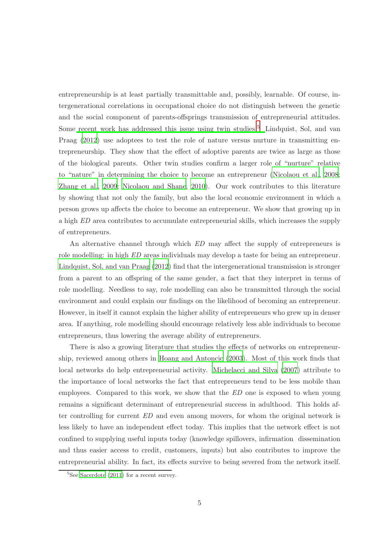entrepreneurship is at least partially transmittable and, possibly, learnable. Of course, intergenerational correlations in occupational choice do not distinguish between the genetic and the social component of parents-offsprings transmission of entrepreneurial attitudes. Some [recent work has addressed this issue using twin studies.](#page-31-5)<sup>[5](#page-5-0)</sup> Lindquist, Sol, and van Praag [\(2012\)](#page-31-5) use adoptees to test the role of nature versus nurture in transmitting entrepreneurship. They show that the effect of adoptive parents are twice as large as those of the biological parents. Other twin studies confirm a larger role of "nurture" relative to "nature" in determining the choice to become an entrepreneur [\(Nicolaou et al.](#page-31-6), [2008;](#page-31-6) [Zhang et al., 2009;](#page-32-0) [Nicolaou and Shane](#page-31-7), [2010\)](#page-31-7). Our work contributes to this literature by showing that not only the family, but also the local economic environment in which a person grows up affects the choice to become an entrepreneur. We show that growing up in a high *ED* area contributes to accumulate entrepreneurial skills, which increases the supply of entrepreneurs.

An alternative channel through which *ED* may affect the supply of entrepreneurs is role modelling: in high *ED* areas individuals may develop a taste for being an entrepreneur. [Lindquist, Sol, and van Praag \(2012](#page-31-5)) find that the intergenerational transmission is stronger from a parent to an offspring of the same gender, a fact that they interpret in terms of role modelling. Needless to say, role modelling can also be transmitted through the social environment and could explain our findings on the likelihood of becoming an entrepreneur. However, in itself it cannot explain the higher ability of entrepreneurs who grew up in denser area. If anything, role modelling should encourage relatively less able individuals to become entrepreneurs, thus lowering the average ability of entrepreneurs.

There is also a growing literature that studies the effects of networks on entrepreneurship, reviewed among others in [Hoang and Antoncic \(2003](#page-30-2)). Most of this work finds that local networks do help entrepreneurial activity. [Michelacci and Silva \(2007](#page-31-8)) attribute to the importance of local networks the fact that entrepreneurs tend to be less mobile than employees. Compared to this work, we show that the *ED* one is exposed to when young remains a significant determinant of entrepreneurial success in adulthood. This holds after controlling for current *ED* and even among movers, for whom the original network is less likely to have an independent effect today. This implies that the network effect is not confined to supplying useful inputs today (knowledge spillovers, infirmation dissemination and thus easier access to credit, customers, inputs) but also contributes to improve the entrepreneurial ability. In fact, its effects survive to being severed from the network itself.

<span id="page-5-0"></span> ${}^{5}$ See [Sacerdote \(2011\)](#page-31-9) for a recent survey.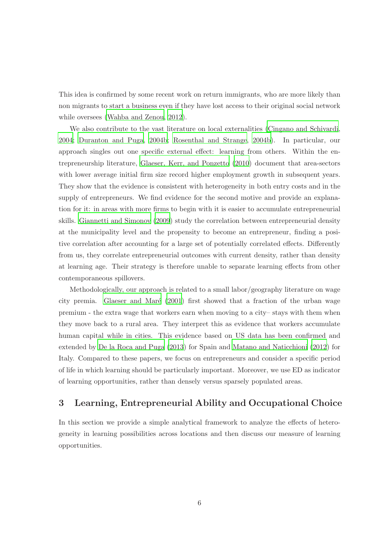This idea is confirmed by some recent work on return immigrants, who are more likely than non migrants to start a business even if they have lost access to their original social network while oversees [\(Wahba and Zenou](#page-32-1), [2012\)](#page-32-1).

We also contribute to the vast literature on local externalities [\(Cingano and Schivardi](#page-29-2), [2004;](#page-29-2) [Duranton and Puga, 2004b;](#page-30-3) [Rosenthal and Strange, 2004b](#page-31-10)). In particular, our approach singles out one specific external effect: learning from others. Within the entrepreneurship literature, [Glaeser, Kerr, and Ponzetto \(2010\)](#page-30-4) document that area-sectors with lower average initial firm size record higher employment growth in subsequent years. They show that the evidence is consistent with heterogeneity in both entry costs and in the supply of entrepreneurs. We find evidence for the second motive and provide an explanation for it: in areas with more firms to begin with it is easier to accumulate entrepreneurial skills. [Giannetti and Simonov \(2009\)](#page-30-5) study the correlation between entrepreneurial density at the municipality level and the propensity to become an entrepreneur, finding a positive correlation after accounting for a large set of potentially correlated effects. Differently from us, they correlate entrepreneurial outcomes with current density, rather than density at learning age. Their strategy is therefore unable to separate learning effects from other contemporaneous spillovers.

Methodologically, our approach is related to a small labor/geography literature on wage city premia. Glaeser and Maré  $(2001)$  first showed that a fraction of the urban wage premium - the extra wage that workers earn when moving to a city– stays with them when they move back to a rural area. They interpret this as evidence that workers accumulate human capital while in cities. This evidence based on US data has been confirmed and extended by [De la Roca and Puga \(2013\)](#page-29-3) for Spain and [Matano and](#page-31-11) Naticchioni [\(2012](#page-31-11)) for Italy. Compared to these papers, we focus on entrepreneurs and consider a specific period of life in which learning should be particularly important. Moreover, we use ED as indicator of learning opportunities, rather than densely versus sparsely populated areas.

# <span id="page-6-0"></span>3 Learning, Entrepreneurial Ability and Occupational Choice

In this section we provide a simple analytical framework to analyze the effects of heterogeneity in learning possibilities across locations and then discuss our measure of learning opportunities.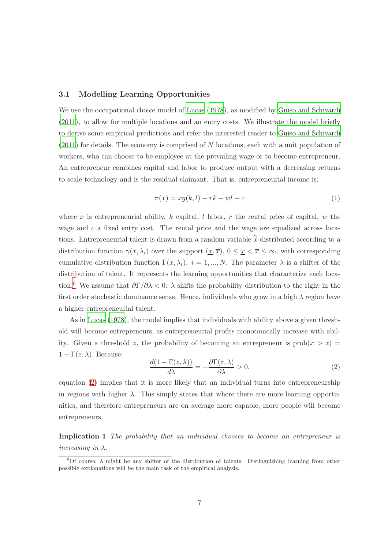#### 3.1 Modelling Learning Opportunities

We use the occupational choice model of [Lucas \(1978\)](#page-31-0), as modified by [Guiso and Schivardi](#page-30-7) [\(2011\)](#page-30-7), to allow for multiple locations and an entry costs. We illustrate the model briefly to derive some empirical predictions and refer the interested reader to [Guiso and Schivardi](#page-30-7) [\(2011\)](#page-30-7) for details. The economy is comprised of N locations, each with a unit population of workers, who can choose to be employee at the prevailing wage or to become entrepreneur. An entrepreneur combines capital and labor to produce output with a decreasing returns to scale technology and is the residual claimant. That is, entrepreneurial income is:

$$
\pi(x) = xg(k, l) - rk - wl - c \tag{1}
$$

where x is entrepreneurial ability, k capital, l labor, r the rental price of capital,  $w$  the wage and  $c$  a fixed entry cost. The rental price and the wage are equalized across locations. Entrepreneurial talent is drawn from a random variable  $\tilde{x}$  distributed according to a distribution function  $\gamma(x, \lambda_i)$  over the support  $(\underline{x}, \overline{x}), 0 \leq \underline{x} < \overline{x} \leq \infty$ , with corresponding cumulative distribution function  $\Gamma(x, \lambda_i)$ ,  $i = 1, ..., N$ . The parameter  $\lambda$  is a shifter of the distribution of talent. It represents the learning opportunities that characterize each loca-tion.<sup>[6](#page-7-0)</sup> We assume that  $\partial \Gamma/\partial \lambda < 0$ :  $\lambda$  shifts the probability distribution to the right in the first order stochastic dominance sense. Hence, individuals who grow in a high  $\lambda$  region have a higher entrepreneurial talent.

As in [Lucas \(1978\)](#page-31-0), the model implies that individuals with ability above a given threshold will become entrepreneurs, as entrepreneurial profits monotonically increase with ability. Given a threshold z, the probability of becoming an entrepreneur is  $prob(x > z)$  $1 - \Gamma(z, \lambda)$ . Because:

<span id="page-7-1"></span>
$$
\frac{d(1 - \Gamma(z, \lambda))}{d\lambda} = -\frac{\partial \Gamma(z, \lambda)}{\partial \lambda} > 0.
$$
 (2)

equation [\(2\)](#page-7-1) implies that it is more likely that an individual turns into entrepreneurship in regions with higher  $\lambda$ . This simply states that where there are more learning opportunities, and therefore entrepreneurs are on average more capable, more people will become entrepreneurs.

Implication 1 *The probability that an individual chooses to become an entrepreneur is increasing in* λ*.*

<span id="page-7-0"></span><sup>&</sup>lt;sup>6</sup>Of course,  $\lambda$  might be any shifter of the distribution of talents. Distinguishing learning from other possible explanations will be the main task of the empirical analysis.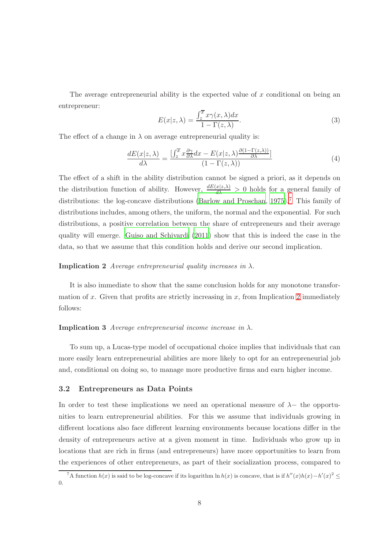The average entrepreneurial ability is the expected value of  $x$  conditional on being an entrepreneur:

$$
E(x|z,\lambda) = \frac{\int_{z}^{\overline{x}} x\gamma(x,\lambda)dx}{1 - \Gamma(z,\lambda)}.
$$
\n(3)

The effect of a change in  $\lambda$  on average entrepreneurial quality is:

$$
\frac{dE(x|z,\lambda)}{d\lambda} = \frac{\left[\int_z^{\overline{x}} x \frac{\partial \gamma}{\partial \lambda} dx - E(x|z,\lambda) \frac{\partial (1-\Gamma(z,\lambda))}{\partial \lambda}\right]}{(1-\Gamma(z,\lambda))}
$$
(4)

The effect of a shift in the ability distribution cannot be signed a priori, as it depends on the distribution function of ability. However,  $\frac{dE(x|z,\lambda)}{d\lambda} > 0$  holds for a general family of distributions: the log-concave distributions [\(Barlow and](#page-29-4) Proschan, [1975\)](#page-29-4).<sup>[7](#page-8-0)</sup> This family of distributions includes, among others, the uniform, the normal and the exponential. For such distributions, a positive correlation between the share of entrepreneurs and their average quality will emerge. [Guiso and Schivardi \(2011\)](#page-30-7) show that this is indeed the case in the data, so that we assume that this condition holds and derive our second implication.

#### <span id="page-8-1"></span>**Implication 2** *Average entrepreneurial quality increases in*  $\lambda$ .

It is also immediate to show that the same conclusion holds for any monotone transformation of x. Given that profits are strictly increasing in  $x$ , from Implication [2](#page-8-1) immediately follows:

#### Implication 3 *Average entrepreneurial income increase in* λ*.*

To sum up, a Lucas-type model of occupational choice implies that individuals that can more easily learn entrepreneurial abilities are more likely to opt for an entrepreneurial job and, conditional on doing so, to manage more productive firms and earn higher income.

#### 3.2 Entrepreneurs as Data Points

In order to test these implications we need an operational measure of  $\lambda$ − the opportunities to learn entrepreneurial abilities. For this we assume that individuals growing in different locations also face different learning environments because locations differ in the density of entrepreneurs active at a given moment in time. Individuals who grow up in locations that are rich in firms (and entrepreneurs) have more opportunities to learn from the experiences of other entrepreneurs, as part of their socialization process, compared to

<span id="page-8-0"></span><sup>&</sup>lt;sup>7</sup>A function  $h(x)$  is said to be log-concave if its logarithm ln  $h(x)$  is concave, that is if  $h''(x)h(x) - h'(x)^2 \le$ 0.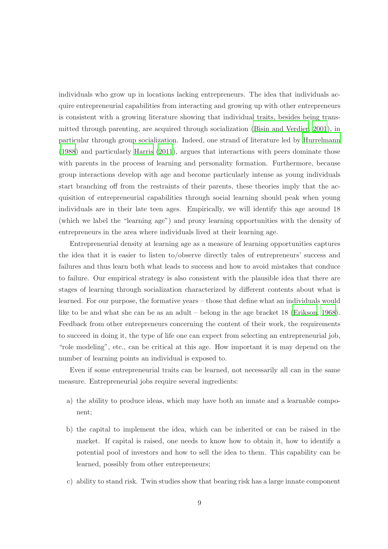individuals who grow up in locations lacking entrepreneurs. The idea that individuals acquire entrepreneurial capabilities from interacting and growing up with other entrepreneurs is consistent with a growing literature showing that individual traits, besides being transmitted through parenting, are acquired through socialization [\(Bisin and Verdier](#page-29-5), [2001\)](#page-29-5), in particular through group socialization. Indeed, one strand of literature led by [Hurrelmann](#page-30-8) [\(1988\)](#page-30-8) and particularly [Harris \(2011\)](#page-30-9), argues that interactions with peers dominate those with parents in the process of learning and personality formation. Furthermore, because group interactions develop with age and become particularly intense as young individuals start branching off from the restraints of their parents, these theories imply that the acquisition of entrepreneurial capabilities through social learning should peak when young individuals are in their late teen ages. Empirically, we will identify this age around 18 (which we label the "learning age") and proxy learning opportunities with the density of entrepreneurs in the area where individuals lived at their learning age.

Entrepreneurial density at learning age as a measure of learning opportunities captures the idea that it is easier to listen to/observe directly tales of entrepreneurs' success and failures and thus learn both what leads to success and how to avoid mistakes that conduce to failure. Our empirical strategy is also consistent with the plausible idea that there are stages of learning through socialization characterized by different contents about what is learned. For our purpose, the formative years – those that define what an individuals would like to be and what she can be as an adult – belong in the age bracket 18 [\(Erikson](#page-30-10), [1968\)](#page-30-10). Feedback from other entrepreneurs concerning the content of their work, the requirements to succeed in doing it, the type of life one can expect from selecting an entrepreneurial job, "role modeling", etc., can be critical at this age. How important it is may depend on the number of learning points an individual is exposed to.

Even if some entrepreneurial traits can be learned, not necessarily all can in the same measure. Entrepreneurial jobs require several ingredients:

- a) the ability to produce ideas, which may have both an innate and a learnable component;
- b) the capital to implement the idea, which can be inherited or can be raised in the market. If capital is raised, one needs to know how to obtain it, how to identify a potential pool of investors and how to sell the idea to them. This capability can be learned, possibly from other entrepreneurs;
- c) ability to stand risk. Twin studies show that bearing risk has a large innate component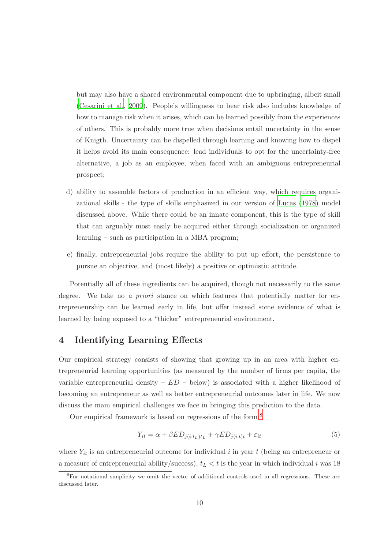but may also have a shared environmental component due to upbringing, albeit small [\(Cesarini et al., 2009](#page-29-6)). People's willingness to bear risk also includes knowledge of how to manage risk when it arises, which can be learned possibly from the experiences of others. This is probably more true when decisions entail uncertainty in the sense of Knigth. Uncertainty can be dispelled through learning and knowing how to dispel it helps avoid its main consequence: lead individuals to opt for the uncertainty-free alternative, a job as an employee, when faced with an ambiguous entrepreneurial prospect;

- d) ability to assemble factors of production in an efficient way, which requires organizational skills - the type of skills emphasized in our version of [Lucas \(1978](#page-31-0)) model discussed above. While there could be an innate component, this is the type of skill that can arguably most easily be acquired either through socialization or organized learning – such as participation in a MBA program;
- e) finally, entrepreneurial jobs require the ability to put up effort, the persistence to pursue an objective, and (most likely) a positive or optimistic attitude.

Potentially all of these ingredients can be acquired, though not necessarily to the same degree. We take no *a priori* stance on which features that potentially matter for entrepreneurship can be learned early in life, but offer instead some evidence of what is learned by being exposed to a "thicker" entrepreneurial environment.

# <span id="page-10-0"></span>4 Identifying Learning Effects

Our empirical strategy consists of showing that growing up in an area with higher entrepreneurial learning opportunities (as measured by the number of firms per capita, the variable entrepreneurial density –  $ED$  – below) is associated with a higher likelihood of becoming an entrepreneur as well as better entrepreneurial outcomes later in life. We now discuss the main empirical challenges we face in bringing this prediction to the data.

Our empirical framework is based on regressions of the form:[8](#page-10-1)

$$
Y_{it} = \alpha + \beta ED_{j(i, t_L)t_L} + \gamma ED_{j(i, t)t} + \varepsilon_{it}
$$
\n
$$
\tag{5}
$$

where  $Y_{it}$  is an entrepreneurial outcome for individual i in year t (being an entrepreneur or a measure of entrepreneurial ability/success),  $t_L < t$  is the year in which individual i was 18

<span id="page-10-1"></span><sup>&</sup>lt;sup>8</sup>For notational simplicity we omit the vector of additional controls used in all regressions. These are discussed later.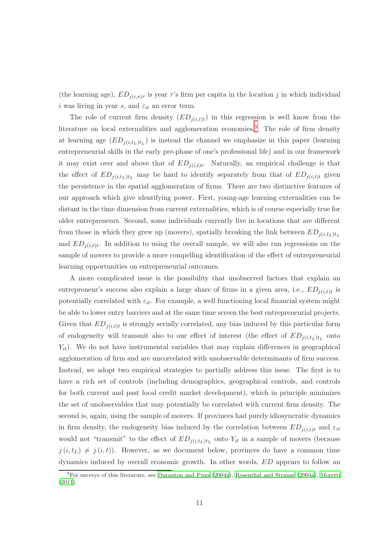(the learning age),  $ED_{j(i,s)\tau}$  is year  $\tau$ 's firm per capita in the location j in which individual i was living in year s, and  $\varepsilon_{it}$  an error term.

The role of current firm density  $(ED_{j(i,t)t})$  in this regression is well know from the literature on local externalities and agglomeration economies.<sup>[9](#page-11-0)</sup> The role of firm density at learning age  $(ED_{j(i,t_L)t_L})$  is instead the channel we emphasize in this paper (learning entrepreneurial skills in the early pre-phase of one's professional life) and in our framework it may exist over and above that of  $ED_{j(i,t)t}$ . Naturally, an empirical challenge is that the effect of  $ED_{j(i,t_L)t_L}$  may be hard to identify separately from that of  $ED_{j(i,t)t}$  given the persistence in the spatial agglomeration of firms. There are two distinctive features of our approach which give identifying power. First, young-age learning externalities can be distant in the time dimension from current externalities, which is of course especially true for older entrepreneurs. Second, some individuals currently live in locations that are different from those in which they grew up (movers), spatially breaking the link between  $ED_{j(i,t_L)t_L}$ and  $ED_{j(i,t)t}$ . In addition to using the overall sample, we will also run regressions on the sample of movers to provide a more compelling identification of the effect of entrepreneurial learning opportunities on entrepreneurial outcomes.

A more complicated issue is the possibility that unobserved factors that explain an entrepreneur's success also explain a large share of firms in a given area, i.e.,  $ED_{j(i,t)t}$  is potentially correlated with  $\varepsilon_{it}$ . For example, a well functioning local financial system might be able to lower entry barriers and at the same time screen the best entrepreneurial projects. Given that  $ED_{j(i,t)t}$  is strongly serially correlated, any bias induced by this particular form of endogeneity will transmit also to our effect of interest (the effect of  $ED_{j(i,t_L)t_L}$  onto  $Y_{it}$ ). We do not have instrumental variables that may explain differences in geographical agglomeration of firm and are uncorrelated with unobservable determinants of firm success. Instead, we adopt two empirical strategies to partially address this issue. The first is to have a rich set of controls (including demographics, geographical controls, and controls for both current and past local credit market development), which in principle minimizes the set of unobservables that may potentially be correlated with current firm density. The second is, again, using the sample of movers. If provinces had purely idiosyncratic dynamics in firm density, the endogeneity bias induced by the correlation between  $ED_{j(i,t)t}$  and  $\varepsilon_{it}$ would not "transmit" to the effect of  $ED_{j(i,t_L)t_L}$  onto  $Y_{it}$  in a sample of movers (because  $j(i, t_L) \neq j(i, t)$ . However, as we document below, provinces do have a common time dynamics induced by overall economic growth. In other words, ED appears to follow an

<span id="page-11-0"></span> $9F$ For surveys of this literature, see [Duranton and Puga \(2004a\)](#page-30-11), [Rosenthal and Strange \(2004a](#page-31-12)), [Moretti](#page-31-13) [\(2011\)](#page-31-13).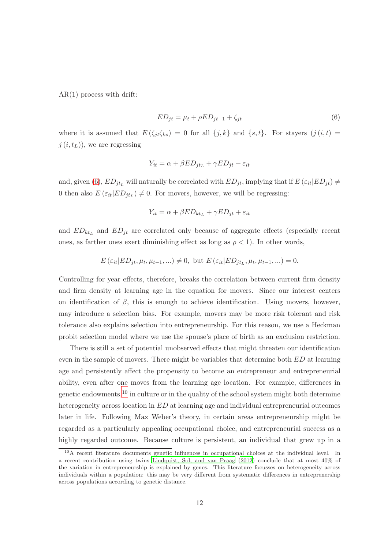AR(1) process with drift:

<span id="page-12-0"></span>
$$
ED_{jt} = \mu_t + \rho ED_{jt-1} + \zeta_{jt} \tag{6}
$$

where it is assumed that  $E(\zeta_{jt}\zeta_{ks}) = 0$  for all  $\{j,k\}$  and  $\{s,t\}$ . For stayers  $(j(i, t))$  $j(i, t_L)$ , we are regressing

$$
Y_{it} = \alpha + \beta ED_{jt_L} + \gamma ED_{jt} + \varepsilon_{it}
$$

and, given [\(6\)](#page-12-0),  $ED_{jt_L}$  will naturally be correlated with  $ED_{jt}$ , implying that if  $E(\varepsilon_{it}|ED_{jt}) \neq$ 0 then also  $E\left(\varepsilon_{it}|ED_{jt_L}\right) \neq 0$ . For movers, however, we will be regressing:

$$
Y_{it} = \alpha + \beta ED_{kt_L} + \gamma ED_{jt} + \varepsilon_{it}
$$

and  $ED_{kt_L}$  and  $ED_{jt}$  are correlated only because of aggregate effects (especially recent ones, as farther ones exert diminishing effect as long as  $\rho < 1$ ). In other words,

$$
E\left(\varepsilon_{it}|ED_{jt},\mu_t,\mu_{t-1},\ldots\right)\neq 0, \text{ but } E\left(\varepsilon_{it}|ED_{jt_L},\mu_t,\mu_{t-1},\ldots\right)=0.
$$

Controlling for year effects, therefore, breaks the correlation between current firm density and firm density at learning age in the equation for movers. Since our interest centers on identification of  $\beta$ , this is enough to achieve identification. Using movers, however, may introduce a selection bias. For example, movers may be more risk tolerant and risk tolerance also explains selection into entrepreneurship. For this reason, we use a Heckman probit selection model where we use the spouse's place of birth as an exclusion restriction.

There is still a set of potential unobserved effects that might threaten our identification even in the sample of movers. There might be variables that determine both ED at learning age and persistently affect the propensity to become an entrepreneur and entrepreneurial ability, even after one moves from the learning age location. For example, differences in genetic endowments, $^{10}$  $^{10}$  $^{10}$  in culture or in the quality of the school system might both determine heterogeneity across location in ED at learning age and individual entrepreneurial outcomes later in life. Following Max Weber's theory, in certain areas entrepreneurship might be regarded as a particularly appealing occupational choice, and entrepreneurial success as a highly regarded outcome. Because culture is persistent, an individual that grew up in a

<span id="page-12-1"></span><sup>&</sup>lt;sup>10</sup>A recent literature documents genetic influences in occupational choices at the individual level. In a recent contribution using twins [Lindquist, Sol, and van Praag \(2012](#page-31-5)) conclude that at most 40% of the variation in entrepreneurship is explained by genes. This literature focusses on heterogeneity across individuals within a population: this may be very different from systematic differences in entreprenership across populations according to genetic distance.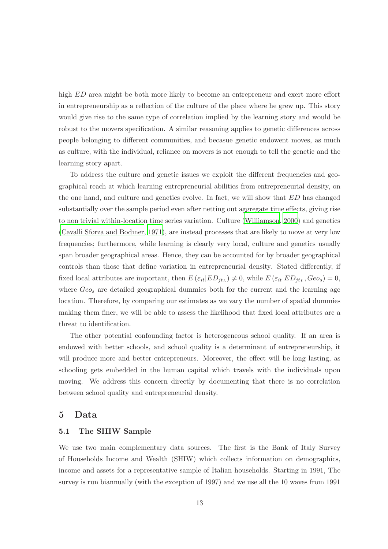high ED area might be both more likely to become an entrepreneur and exert more effort in entrepreneurship as a reflection of the culture of the place where he grew up. This story would give rise to the same type of correlation implied by the learning story and would be robust to the movers specification. A similar reasoning applies to genetic differences across people belonging to different communities, and becasue genetic endowent moves, as much as culture, with the individual, reliance on movers is not enough to tell the genetic and the learning story apart.

To address the culture and genetic issues we exploit the different frequencies and geographical reach at which learning entrepreneurial abilities from entrepreneurial density, on the one hand, and culture and genetics evolve. In fact, we will show that ED has changed substantially over the sample period even after netting out aggregate time effects, giving rise to non trivial within-location time series variation. Culture [\(Williamson, 2000\)](#page-32-2) and genetics [\(Cavalli Sforza and Bodmer, 1971\)](#page-29-7), are instead processes that are likely to move at very low frequencies; furthermore, while learning is clearly very local, culture and genetics usually span broader geographical areas. Hence, they can be accounted for by broader geographical controls than those that define variation in entrepreneurial density. Stated differently, if fixed local attributes are important, then  $E\left(\varepsilon_{it}|ED_{jt_L}\right) \neq 0$ , while  $E\left(\varepsilon_{it}|ED_{jt_L},Geo_s\right) = 0$ , where  $Geo_{s}$  are detailed geographical dummies both for the current and the learning age location. Therefore, by comparing our estimates as we vary the number of spatial dummies making them finer, we will be able to assess the likelihood that fixed local attributes are a threat to identification.

The other potential confounding factor is heterogeneous school quality. If an area is endowed with better schools, and school quality is a determinant of entrepreneurship, it will produce more and better entrepreneurs. Moreover, the effect will be long lasting, as schooling gets embedded in the human capital which travels with the individuals upon moving. We address this concern directly by documenting that there is no correlation between school quality and entrepreneurial density.

# <span id="page-13-0"></span>5 Data

#### 5.1 The SHIW Sample

We use two main complementary data sources. The first is the Bank of Italy Survey of Households Income and Wealth (SHIW) which collects information on demographics, income and assets for a representative sample of Italian households. Starting in 1991, The survey is run biannually (with the exception of 1997) and we use all the 10 waves from 1991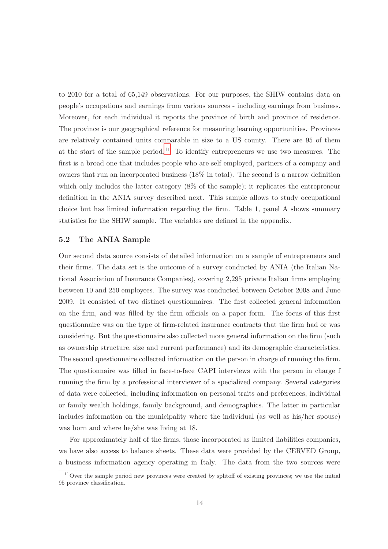to 2010 for a total of 65,149 observations. For our purposes, the SHIW contains data on people's occupations and earnings from various sources - including earnings from business. Moreover, for each individual it reports the province of birth and province of residence. The province is our geographical reference for measuring learning opportunities. Provinces are relatively contained units comparable in size to a US county. There are 95 of them at the start of the sample period.<sup>[11](#page-14-0)</sup> To identify entrepreneurs we use two measures. The first is a broad one that includes people who are self employed, partners of a company and owners that run an incorporated business (18% in total). The second is a narrow definition which only includes the latter category  $(8\%$  of the sample); it replicates the entrepreneur definition in the ANIA survey described next. This sample allows to study occupational choice but has limited information regarding the firm. Table 1, panel A shows summary statistics for the SHIW sample. The variables are defined in the appendix.

#### 5.2 The ANIA Sample

Our second data source consists of detailed information on a sample of entrepreneurs and their firms. The data set is the outcome of a survey conducted by ANIA (the Italian National Association of Insurance Companies), covering 2,295 private Italian firms employing between 10 and 250 employees. The survey was conducted between October 2008 and June 2009. It consisted of two distinct questionnaires. The first collected general information on the firm, and was filled by the firm officials on a paper form. The focus of this first questionnaire was on the type of firm-related insurance contracts that the firm had or was considering. But the questionnaire also collected more general information on the firm (such as ownership structure, size and current performance) and its demographic characteristics. The second questionnaire collected information on the person in charge of running the firm. The questionnaire was filled in face-to-face CAPI interviews with the person in charge f running the firm by a professional interviewer of a specialized company. Several categories of data were collected, including information on personal traits and preferences, individual or family wealth holdings, family background, and demographics. The latter in particular includes information on the municipality where the individual (as well as his/her spouse) was born and where he/she was living at 18.

For approximately half of the firms, those incorporated as limited liabilities companies, we have also access to balance sheets. These data were provided by the CERVED Group, a business information agency operating in Italy. The data from the two sources were

<span id="page-14-0"></span> $11$ Over the sample period new provinces were created by splitoff of existing provinces; we use the initial 95 province classification.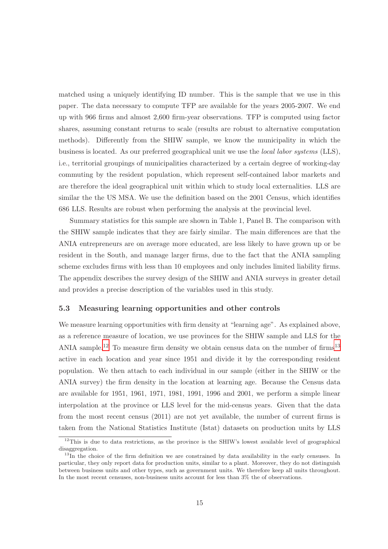matched using a uniquely identifying ID number. This is the sample that we use in this paper. The data necessary to compute TFP are available for the years 2005-2007. We end up with 966 firms and almost 2,600 firm-year observations. TFP is computed using factor shares, assuming constant returns to scale (results are robust to alternative computation methods). Differently from the SHIW sample, we know the municipality in which the business is located. As our preferred geographical unit we use the *local labor systems* (LLS), i.e., territorial groupings of municipalities characterized by a certain degree of working-day commuting by the resident population, which represent self-contained labor markets and are therefore the ideal geographical unit within which to study local externalities. LLS are similar the the US MSA. We use the definition based on the 2001 Census, which identifies 686 LLS. Results are robust when performing the analysis at the provincial level.

Summary statistics for this sample are shown in Table 1, Panel B. The comparison with the SHIW sample indicates that they are fairly similar. The main differences are that the ANIA entrepreneurs are on average more educated, are less likely to have grown up or be resident in the South, and manage larger firms, due to the fact that the ANIA sampling scheme excludes firms with less than 10 employees and only includes limited liability firms. The appendix describes the survey design of the SHIW and ANIA surveys in greater detail and provides a precise description of the variables used in this study.

#### 5.3 Measuring learning opportunities and other controls

We measure learning opportunities with firm density at "learning age". As explained above, as a reference measure of location, we use provinces for the SHIW sample and LLS for the ANIA sample.<sup>[12](#page-15-0)</sup> To measure firm density we obtain census data on the number of firms<sup>[13](#page-15-1)</sup> active in each location and year since 1951 and divide it by the corresponding resident population. We then attach to each individual in our sample (either in the SHIW or the ANIA survey) the firm density in the location at learning age. Because the Census data are available for 1951, 1961, 1971, 1981, 1991, 1996 and 2001, we perform a simple linear interpolation at the province or LLS level for the mid-census years. Given that the data from the most recent census (2011) are not yet available, the number of current firms is taken from the National Statistics Institute (Istat) datasets on production units by LLS

<span id="page-15-0"></span> $12$ This is due to data restrictions, as the province is the SHIW's lowest available level of geographical disaggregation.

<span id="page-15-1"></span> $13$ In the choice of the firm definition we are constrained by data availability in the early censuses. In particular, they only report data for production units, similar to a plant. Moreover, they do not distinguish between business units and other types, such as government units. We therefore keep all units throughout. In the most recent censuses, non-business units account for less than 3% the of observations.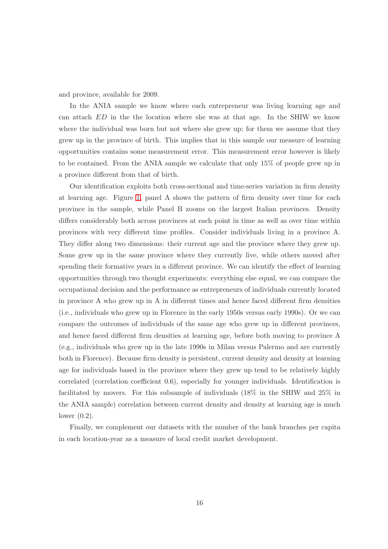and province, available for 2009.

In the ANIA sample we know where each entrepreneur was living learning age and can attach ED in the the location where she was at that age. In the SHIW we know where the individual was born but not where she grew up; for them we assume that they grew up in the province of birth. This implies that in this sample our measure of learning opportunities contains some measurement error. This measurement error however is likely to be contained. From the ANIA sample we calculate that only 15% of people grew up in a province different from that of birth.

Our identification exploits both cross-sectional and time-series variation in firm density at learning age. Figure [1,](#page-17-1) panel A shows the pattern of firm density over time for each province in the sample, while Panel B zooms on the largest Italian provinces. Density differs considerably both across provinces at each point in time as well as over time within provinces with very different time profiles. Consider individuals living in a province A. They differ along two dimensions: their current age and the province where they grew up. Some grew up in the same province where they currently live, while others moved after spending their formative years in a different province. We can identify the effect of learning opportunities through two thought experiments: everything else equal, we can compare the occupational decision and the performance as entrepreneurs of individuals currently located in province A who grew up in A in different times and hence faced different firm densities (i.e., individuals who grew up in Florence in the early 1950s versus early 1990s). Or we can compare the outcomes of individuals of the same age who grew up in different provinces, and hence faced different firm densities at learning age, before both moving to province A (e.g., individuals who grew up in the late 1990s in Milan versus Palermo and are currently both in Florence). Because firm density is persistent, current density and density at learning age for individuals based in the province where they grew up tend to be relatively highly correlated (correlation coefficient 0.6), especially for younger individuals. Identification is facilitated by movers. For this subsample of individuals (18% in the SHIW and 25% in the ANIA sample) correlation between current density and density at learning age is much lower (0.2).

Finally, we complement our datasets with the number of the bank branches per capita in each location-year as a measure of local credit market development.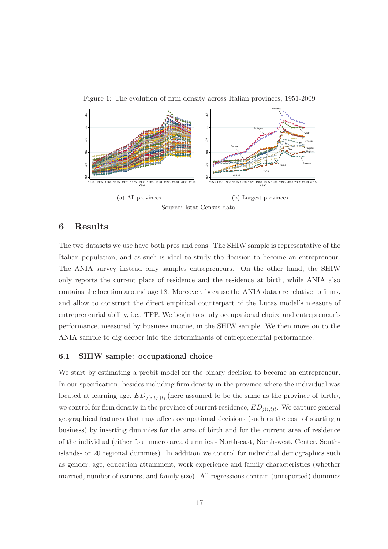

<span id="page-17-1"></span>Figure 1: The evolution of firm density across Italian provinces, 1951-2009

# <span id="page-17-0"></span>6 Results

The two datasets we use have both pros and cons. The SHIW sample is representative of the Italian population, and as such is ideal to study the decision to become an entrepreneur. The ANIA survey instead only samples entrepreneurs. On the other hand, the SHIW only reports the current place of residence and the residence at birth, while ANIA also contains the location around age 18. Moreover, because the ANIA data are relative to firms, and allow to construct the direct empirical counterpart of the Lucas model's measure of entrepreneurial ability, i.e., TFP. We begin to study occupational choice and entrepreneur's performance, measured by business income, in the SHIW sample. We then move on to the ANIA sample to dig deeper into the determinants of entrepreneurial performance.

#### 6.1 SHIW sample: occupational choice

We start by estimating a probit model for the binary decision to become an entrepreneur. In our specification, besides including firm density in the province where the individual was located at learning age,  $ED_{j(i,t_L)t_L}$  (here assumed to be the same as the province of birth), we control for firm density in the province of current residence,  $ED_{j(i,t)t}$ . We capture general geographical features that may affect occupational decisions (such as the cost of starting a business) by inserting dummies for the area of birth and for the current area of residence of the individual (either four macro area dummies - North-east, North-west, Center, Southislands- or 20 regional dummies). In addition we control for individual demographics such as gender, age, education attainment, work experience and family characteristics (whether married, number of earners, and family size). All regressions contain (unreported) dummies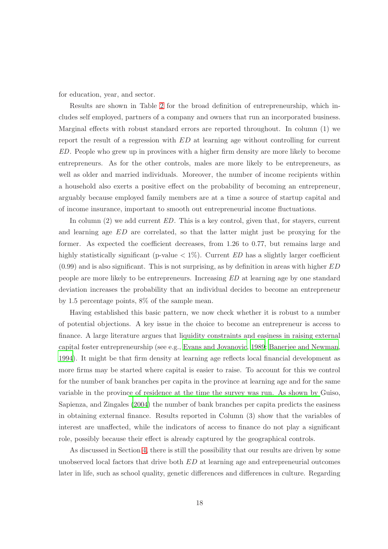for education, year, and sector.

Results are shown in Table [2](#page-48-0) for the broad definition of entrepreneurship, which includes self employed, partners of a company and owners that run an incorporated business. Marginal effects with robust standard errors are reported throughout. In column (1) we report the result of a regression with ED at learning age without controlling for current *ED*. People who grew up in provinces with a higher firm density are more likely to become entrepreneurs. As for the other controls, males are more likely to be entrepreneurs, as well as older and married individuals. Moreover, the number of income recipients within a household also exerts a positive effect on the probability of becoming an entrepreneur, arguably because employed family members are at a time a source of startup capital and of income insurance, important to smooth out entrepreneurial income fluctuations.

In column (2) we add current *ED*. This is a key control, given that, for stayers, current and learning age ED are correlated, so that the latter might just be proxying for the former. As expected the coefficient decreases, from 1.26 to 0.77, but remains large and highly statistically significant (p-value  $\langle 1\% \rangle$ ). Current *ED* has a slightly larger coefficient  $(0.99)$  and is also significant. This is not surprising, as by definition in areas with higher  $ED$ people are more likely to be entrepreneurs. Increasing *ED* at learning age by one standard deviation increases the probability that an individual decides to become an entrepreneur by 1.5 percentage points, 8% of the sample mean.

Having established this basic pattern, we now check whether it is robust to a number of potential objections. A key issue in the choice to become an entrepreneur is access to finance. A large literature argues that liquidity constraints and easiness in raising external capital foster entrepreneurship (see e.g., [Evans and Jovanovic, 1989](#page-30-12); [Banerjee and Newman,](#page-29-8) [1994\)](#page-29-8). It might be that firm density at learning age reflects local financial development as more firms may be started where capital is easier to raise. To account for this we control for the number of bank branches per capita in the province at learning age and for the same variable in the provin[ce of residence at the time the survey was run. As shown by](#page-30-13) Guiso, Sapienza, and Zingales [\(2004\)](#page-30-13) the number of bank branches per capita predicts the easiness in obtaining external finance. Results reported in Column (3) show that the variables of interest are unaffected, while the indicators of access to finance do not play a significant role, possibly because their effect is already captured by the geographical controls.

As discussed in Section [4,](#page-10-0) there is still the possibility that our results are driven by some unobserved local factors that drive both ED at learning age and entrepreneurial outcomes later in life, such as school quality, genetic differences and differences in culture. Regarding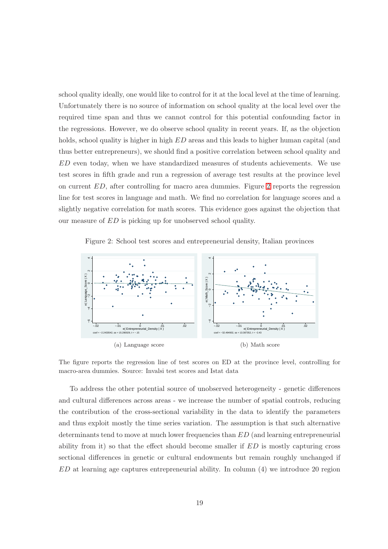school quality ideally, one would like to control for it at the local level at the time of learning. Unfortunately there is no source of information on school quality at the local level over the required time span and thus we cannot control for this potential confounding factor in the regressions. However, we do observe school quality in recent years. If, as the objection holds, school quality is higher in high  $ED$  areas and this leads to higher human capital (and thus better entrepreneurs), we should find a positive correlation between school quality and ED even today, when we have standardized measures of students achievements. We use test scores in fifth grade and run a regression of average test results at the province level on current ED, after controlling for macro area dummies. Figure [2](#page-19-0) reports the regression line for test scores in language and math. We find no correlation for language scores and a slightly negative correlation for math scores. This evidence goes against the objection that our measure of ED is picking up for unobserved school quality.

<span id="page-19-0"></span>Figure 2: School test scores and entrepreneurial density, Italian provinces



The figure reports the regression line of test scores on ED at the province level, controlling for macro-area dummies. Source: Invalsi test scores and Istat data

To address the other potential source of unobserved heterogeneity - genetic differences and cultural differences across areas - we increase the number of spatial controls, reducing the contribution of the cross-sectional variability in the data to identify the parameters and thus exploit mostly the time series variation. The assumption is that such alternative determinants tend to move at much lower frequencies than ED (and learning entrepreneurial ability from it) so that the effect should become smaller if  $ED$  is mostly capturing cross sectional differences in genetic or cultural endowments but remain roughly unchanged if ED at learning age captures entrepreneurial ability. In column (4) we introduce 20 region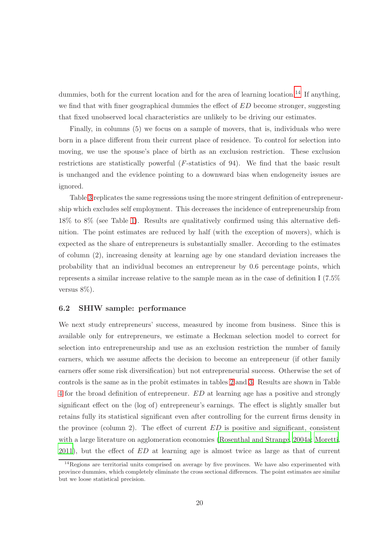dummies, both for the current location and for the area of learning location.<sup>[14](#page-20-0)</sup> If anything, we find that with finer geographical dummies the effect of  $ED$  become stronger, suggesting that fixed unobserved local characteristics are unlikely to be driving our estimates.

Finally, in columns (5) we focus on a sample of movers, that is, individuals who were born in a place different from their current place of residence. To control for selection into moving, we use the spouse's place of birth as an exclusion restriction. These exclusion restrictions are statistically powerful (*F*-statistics of 94). We find that the basic result is unchanged and the evidence pointing to a downward bias when endogeneity issues are ignored.

Table [3](#page-49-0) replicates the same regressions using the more stringent definition of entrepreneurship which excludes self employment. This decreases the incidence of entrepreneurship from 18% to 8% (see Table [1\)](#page-47-0). Results are qualitatively confirmed using this alternative definition. The point estimates are reduced by half (with the exception of movers), which is expected as the share of entrepreneurs is substantially smaller. According to the estimates of column (2), increasing density at learning age by one standard deviation increases the probability that an individual becomes an entrepreneur by 0.6 percentage points, which represents a similar increase relative to the sample mean as in the case of definition I (7.5% versus 8%).

#### 6.2 SHIW sample: performance

We next study entrepreneurs' success, measured by income from business. Since this is available only for entrepreneurs, we estimate a Heckman selection model to correct for selection into entrepreneurship and use as an exclusion restriction the number of family earners, which we assume affects the decision to become an entrepreneur (if other family earners offer some risk diversification) but not entrepreneurial success. Otherwise the set of controls is the same as in the probit estimates in tables [2](#page-48-0) and [3.](#page-49-0) Results are shown in Table [4](#page-36-0) for the broad definition of entrepreneur. ED at learning age has a positive and strongly significant effect on the (log of) entrepreneur's earnings. The effect is slightly smaller but retains fully its statistical significant even after controlling for the current firms density in the province (column 2). The effect of current  $ED$  is positive and significant, consistent with a large literature on agglomeration economies [\(Rosenthal and Strange](#page-31-12), [2004a;](#page-31-12) [Moretti,](#page-31-13)  $2011$ ), but the effect of  $ED$  at learning age is almost twice as large as that of current

<span id="page-20-0"></span> $14$ Regions are territorial units comprised on average by five provinces. We have also experimented with province dummies, which completely eliminate the cross sectional differences. The point estimates are similar but we loose statistical precision.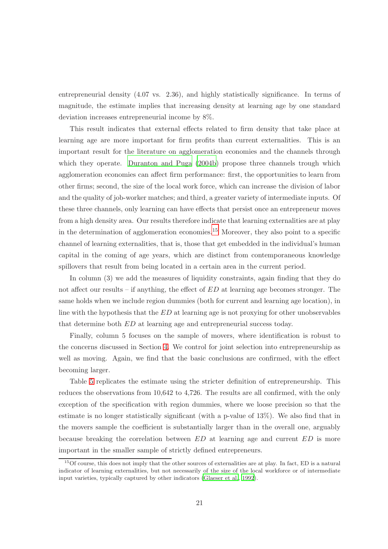entrepreneurial density (4.07 vs. 2.36), and highly statistically significance. In terms of magnitude, the estimate implies that increasing density at learning age by one standard deviation increases entrepreneurial income by 8%.

This result indicates that external effects related to firm density that take place at learning age are more important for firm profits than current externalities. This is an important result for the literature on agglomeration economies and the channels through which they operate. [Duranton and Puga \(2004b](#page-30-3)) propose three channels trough which agglomeration economies can affect firm performance: first, the opportunities to learn from other firms; second, the size of the local work force, which can increase the division of labor and the quality of job-worker matches; and third, a greater variety of intermediate inputs. Of these three channels, only learning can have effects that persist once an entrepreneur moves from a high density area. Our results therefore indicate that learning externalities are at play in the determination of agglomeration economies.<sup>[15](#page-21-0)</sup> Moreover, they also point to a specific channel of learning externalities, that is, those that get embedded in the individual's human capital in the coming of age years, which are distinct from contemporaneous knowledge spillovers that result from being located in a certain area in the current period.

In column (3) we add the measures of liquidity constraints, again finding that they do not affect our results – if anything, the effect of ED at learning age becomes stronger. The same holds when we include region dummies (both for current and learning age location), in line with the hypothesis that the ED at learning age is not proxying for other unobservables that determine both ED at learning age and entrepreneurial success today.

Finally, column 5 focuses on the sample of movers, where identification is robust to the concerns discussed in Section [4.](#page-10-0) We control for joint selection into entrepreneurship as well as moving. Again, we find that the basic conclusions are confirmed, with the effect becoming larger.

Table [5](#page-37-0) replicates the estimate using the stricter definition of entrepreneurship. This reduces the observations from 10,642 to 4,726. The results are all confirmed, with the only exception of the specification with region dummies, where we loose precision so that the estimate is no longer statistically significant (with a p-value of 13%). We also find that in the movers sample the coefficient is substantially larger than in the overall one, arguably because breaking the correlation between ED at learning age and current ED is more important in the smaller sample of strictly defined entrepreneurs.

<span id="page-21-0"></span><sup>15</sup>Of course, this does not imply that the other sources of externalities are at play. In fact, ED is a natural indicator of learning externalities, but not necessarily of the size of the local workforce or of intermediate input varieties, typically captured by other indicators [\(Glaeser et al., 1992\)](#page-30-14).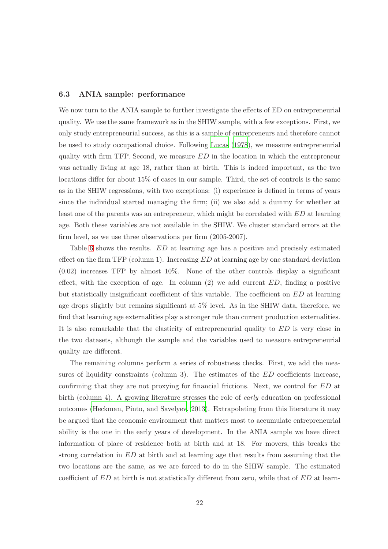#### 6.3 ANIA sample: performance

We now turn to the ANIA sample to further investigate the effects of ED on entrepreneurial quality. We use the same framework as in the SHIW sample, with a few exceptions. First, we only study entrepreneurial success, as this is a sample of entrepreneurs and therefore cannot be used to study occupational choice. Following [Lucas \(1978](#page-31-0)), we measure entrepreneurial quality with firm TFP. Second, we measure  $ED$  in the location in which the entrepreneur was actually living at age 18, rather than at birth. This is indeed important, as the two locations differ for about 15% of cases in our sample. Third, the set of controls is the same as in the SHIW regressions, with two exceptions: (i) experience is defined in terms of years since the individual started managing the firm; (ii) we also add a dummy for whether at least one of the parents was an entrepreneur, which might be correlated with ED at learning age. Both these variables are not available in the SHIW. We cluster standard errors at the firm level, as we use three observations per firm (2005-2007).

Table [6](#page-38-0) shows the results. ED at learning age has a positive and precisely estimated effect on the firm TFP (column 1). Increasing  $ED$  at learning age by one standard deviation (0.02) increases TFP by almost 10%. None of the other controls display a significant effect, with the exception of age. In column  $(2)$  we add current  $ED$ , finding a positive but statistically insignificant coefficient of this variable. The coefficient on ED at learning age drops slightly but remains significant at 5% level. As in the SHIW data, therefore, we find that learning age externalities play a stronger role than current production externalities. It is also remarkable that the elasticity of entrepreneurial quality to ED is very close in the two datasets, although the sample and the variables used to measure entrepreneurial quality are different.

The remaining columns perform a series of robustness checks. First, we add the measures of liquidity constraints (column 3). The estimates of the  $ED$  coefficients increase, confirming that they are not proxying for financial frictions. Next, we control for ED at birth (column 4). A growing literature stresses the role of *early* education on professional outcomes [\(Heckman, Pinto, and Savelyev](#page-30-15), [2013\)](#page-30-15). Extrapolating from this literature it may be argued that the economic environment that matters most to accumulate entrepreneurial ability is the one in the early years of development. In the ANIA sample we have direct information of place of residence both at birth and at 18. For movers, this breaks the strong correlation in ED at birth and at learning age that results from assuming that the two locations are the same, as we are forced to do in the SHIW sample. The estimated coefficient of ED at birth is not statistically different from zero, while that of ED at learn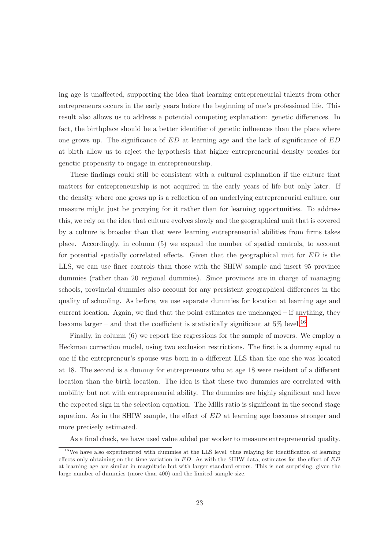ing age is unaffected, supporting the idea that learning entrepreneurial talents from other entrepreneurs occurs in the early years before the beginning of one's professional life. This result also allows us to address a potential competing explanation: genetic differences. In fact, the birthplace should be a better identifier of genetic influences than the place where one grows up. The significance of ED at learning age and the lack of significance of ED at birth allow us to reject the hypothesis that higher entrepreneurial density proxies for genetic propensity to engage in entrepreneurship.

These findings could still be consistent with a cultural explanation if the culture that matters for entrepreneurship is not acquired in the early years of life but only later. If the density where one grows up is a reflection of an underlying entrepreneurial culture, our measure might just be proxying for it rather than for learning opportunities. To address this, we rely on the idea that culture evolves slowly and the geographical unit that is covered by a culture is broader than that were learning entrepreneurial abilities from firms takes place. Accordingly, in column (5) we expand the number of spatial controls, to account for potential spatially correlated effects. Given that the geographical unit for ED is the LLS, we can use finer controls than those with the SHIW sample and insert 95 province dummies (rather than 20 regional dummies). Since provinces are in charge of managing schools, provincial dummies also account for any persistent geographical differences in the quality of schooling. As before, we use separate dummies for location at learning age and current location. Again, we find that the point estimates are unchanged – if anything, they become larger – and that the coefficient is statistically significant at  $5\%$  level.<sup>[16](#page-23-0)</sup>

Finally, in column (6) we report the regressions for the sample of movers. We employ a Heckman correction model, using two exclusion restrictions. The first is a dummy equal to one if the entrepreneur's spouse was born in a different LLS than the one she was located at 18. The second is a dummy for entrepreneurs who at age 18 were resident of a different location than the birth location. The idea is that these two dummies are correlated with mobility but not with entrepreneurial ability. The dummies are highly significant and have the expected sign in the selection equation. The Mills ratio is significant in the second stage equation. As in the SHIW sample, the effect of ED at learning age becomes stronger and more precisely estimated.

As a final check, we have used value added per worker to measure entrepreneurial quality.

<span id="page-23-0"></span> $16$ We have also experimented with dummies at the LLS level, thus relaying for identification of learning effects only obtaining on the time variation in  $ED$ . As with the SHIW data, estimates for the effect of  $ED$ at learning age are similar in magnitude but with larger standard errors. This is not surprising, given the large number of dummies (more than 400) and the limited sample size.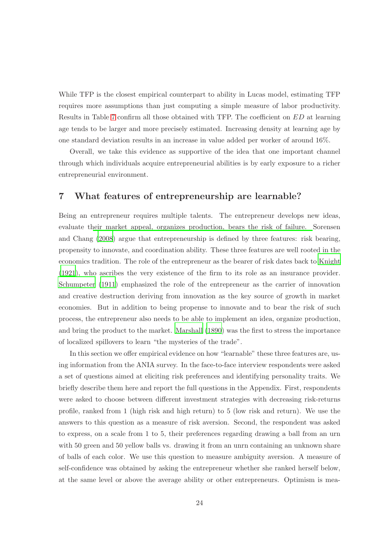While TFP is the closest empirical counterpart to ability in Lucas model, estimating TFP requires more assumptions than just computing a simple measure of labor productivity. Results in Table [7](#page-39-0) confirm all those obtained with TFP. The coefficient on ED at learning age tends to be larger and more precisely estimated. Increasing density at learning age by one standard deviation results in an increase in value added per worker of around 16%.

Overall, we take this evidence as supportive of the idea that one important channel through which individuals acquire entrepreneurial abilities is by early exposure to a richer entrepreneurial environment.

# <span id="page-24-0"></span>7 What features of entrepreneurship are learnable?

Being an entrepreneur requires multiple talents. The entrepreneur develops new ideas, evaluate t[heir market appeal, organizes production, bears](#page-31-14) the risk of failure. Sorensen and Chang [\(2008\)](#page-31-14) argue that entrepreneurship is defined by three features: risk bearing, propensity to innovate, and coordination ability. These three features are well rooted in the economics tradition. The role of the entrepreneur as the bearer of risk dates back to [Knight](#page-30-0) [\(1921\)](#page-30-0), who ascribes the very existence of the firm to its role as an insurance provider. [Schumpeter \(1911\)](#page-31-2) emphasized the role of the entrepreneur as the carrier of innovation and creative destruction deriving from innovation as the key source of growth in market economies. But in addition to being propense to innovate and to bear the risk of such process, the entrepreneur also needs to be able to implement an idea, organize production, and bring the product to the market. [Marshall \(1890\)](#page-31-15) was the first to stress the importance of localized spillovers to learn "the mysteries of the trade".

In this section we offer empirical evidence on how "learnable" these three features are, using information from the ANIA survey. In the face-to-face interview respondents were asked a set of questions aimed at eliciting risk preferences and identifying personality traits. We briefly describe them here and report the full questions in the Appendix. First, respondents were asked to choose between different investment strategies with decreasing risk-returns profile, ranked from 1 (high risk and high return) to 5 (low risk and return). We use the answers to this question as a measure of risk aversion. Second, the respondent was asked to express, on a scale from 1 to 5, their preferences regarding drawing a ball from an urn with 50 green and 50 yellow balls vs. drawing it from an unrn containing an unknown share of balls of each color. We use this question to measure ambiguity aversion. A measure of self-confidence was obtained by asking the entrepreneur whether she ranked herself below, at the same level or above the average ability or other entrepreneurs. Optimism is mea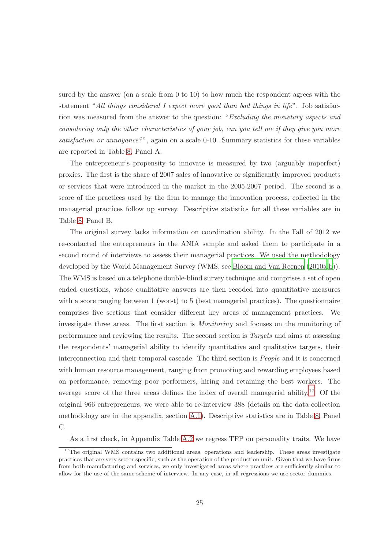sured by the answer (on a scale from 0 to 10) to how much the respondent agrees with the statement "*All things considered I expect more good than bad things in life*". Job satisfaction was measured from the answer to the question: "*Excluding the monetary aspects and considering only the other characteristics of your job, can you tell me if they give you more satisfaction or annoyance?*", again on a scale 0-10. Summary statistics for these variables are reported in Table [8,](#page-40-0) Panel A.

The entrepreneur's propensity to innovate is measured by two (arguably imperfect) proxies. The first is the share of 2007 sales of innovative or significantly improved products or services that were introduced in the market in the 2005-2007 period. The second is a score of the practices used by the firm to manage the innovation process, collected in the managerial practices follow up survey. Descriptive statistics for all these variables are in Table [8,](#page-40-0) Panel B.

The original survey lacks information on coordination ability. In the Fall of 2012 we re-contacted the entrepreneurs in the ANIA sample and asked them to participate in a second round of interviews to assess their managerial practices. We used the methodology developed by the World Management Survey (WMS, see Bloom and [Van Reenen \(2010a](#page-29-9)[,b](#page-29-0))). The WMS is based on a telephone double-blind survey technique and comprises a set of open ended questions, whose qualitative answers are then recoded into quantitative measures with a score ranging between 1 (worst) to 5 (best managerial practices). The questionnaire comprises five sections that consider different key areas of management practices. We investigate three areas. The first section is *Monitoring* and focuses on the monitoring of performance and reviewing the results. The second section is *Targets* and aims at assessing the respondents' managerial ability to identify quantitative and qualitative targets, their interconnection and their temporal cascade. The third section is *People* and it is concerned with human resource management, ranging from promoting and rewarding employees based on performance, removing poor performers, hiring and retaining the best workers. The average score of the three areas defines the index of overall managerial ability.<sup>[17](#page-25-0)</sup> Of the original 966 entrepreneurs, we were able to re-interview 388 (details on the data collection methodology are in the appendix, section [A.1\)](#page-44-0). Descriptive statistics are in Table [8,](#page-40-0) Panel C.

As a first check, in Appendix Table [A.2](#page-48-0) we regress TFP on personality traits. We have

<span id="page-25-0"></span><sup>&</sup>lt;sup>17</sup>The original WMS contains two additional areas, operations and leadership. These areas investigate practices that are very sector specific, such as the operation of the production unit. Given that we have firms from both manufacturing and services, we only investigated areas where practices are sufficiently similar to allow for the use of the same scheme of interview. In any case, in all regressions we use sector dummies.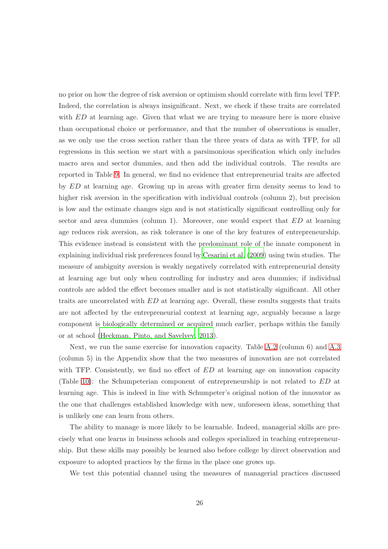no prior on how the degree of risk aversion or optimism should correlate with firm level TFP. Indeed, the correlation is always insignificant. Next, we check if these traits are correlated with ED at learning age. Given that what we are trying to measure here is more elusive than occupational choice or performance, and that the number of observations is smaller, as we only use the cross section rather than the three years of data as with TFP, for all regressions in this section we start with a parsimonious specification which only includes macro area and sector dummies, and then add the individual controls. The results are reported in Table [9.](#page-41-0) In general, we find no evidence that entrepreneurial traits are affected by ED at learning age. Growing up in areas with greater firm density seems to lead to higher risk aversion in the specification with individual controls (column 2), but precision is low and the estimate changes sign and is not statistically significant controlling only for sector and area dummies (column 1). Moreover, one would expect that  $ED$  at learning age reduces risk aversion, as risk tolerance is one of the key features of entrepreneurship. This evidence instead is consistent with the predominant role of the innate component in explaining individual risk preferences found by [Cesarini et al. \(2009](#page-29-6)) using twin studies. The measure of ambiguity aversion is weakly negatively correlated with entrepreneurial density at learning age but only when controlling for industry and area dummies; if individual controls are added the effect becomes smaller and is not statistically significant. All other traits are uncorrelated with ED at learning age. Overall, these results suggests that traits are not affected by the entrepreneurial context at learning age, arguably because a large component is biologically determined or acquired much earlier, perhaps within the family or at school [\(Heckman, Pinto, and Savelyev](#page-30-15), [2013](#page-30-15)).

Next, we run the same exercise for innovation capacity. Table [A.2](#page-48-0) (column 6) and [A.3](#page-49-0) (column 5) in the Appendix show that the two measures of innovation are not correlated with TFP. Consistently, we find no effect of  $ED$  at learning age on innovation capacity (Table [10\)](#page-42-0): the Schumpeterian component of entrepreneurship is not related to ED at learning age. This is indeed in line with Schumpeter's original notion of the innovator as the one that challenges established knowledge with new, unforeseen ideas, something that is unlikely one can learn from others.

The ability to manage is more likely to be learnable. Indeed, managerial skills are precisely what one learns in business schools and colleges specialized in teaching entrepreneurship. But these skills may possibly be learned also before college by direct observation and exposure to adopted practices by the firms in the place one grows up.

We test this potential channel using the measures of managerial practices discussed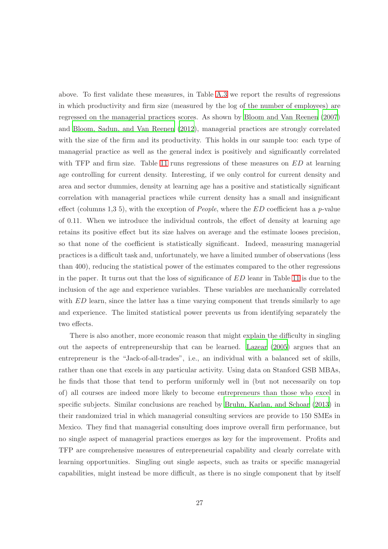above. To first validate these measures, in Table [A.3](#page-49-0) we report the results of regressions in which productivity and firm size (measured by the log of the number of employees) are regressed on the managerial practices scores. As shown by [Bloom and Van Reenen \(2007](#page-29-10)) and [Bloom, Sadun, and Van Reenen \(2012\)](#page-29-11), managerial practices are strongly correlated with the size of the firm and its productivity. This holds in our sample too: each type of managerial practice as well as the general index is positively and significantly correlated with TFP and firm size. Table [11](#page-43-0) runs regressions of these measures on  $ED$  at learning age controlling for current density. Interesting, if we only control for current density and area and sector dummies, density at learning age has a positive and statistically significant correlation with managerial practices while current density has a small and insignificant effect (columns 1,3 5), with the exception of *People*, where the ED coefficient has a *p*-value of 0.11. When we introduce the individual controls, the effect of density at learning age retains its positive effect but its size halves on average and the estimate looses precision, so that none of the coefficient is statistically significant. Indeed, measuring managerial practices is a difficult task and, unfortunately, we have a limited number of observations (less than 400), reducing the statistical power of the estimates compared to the other regressions in the paper. It turns out that the loss of significance of ED leanr in Table [11](#page-43-0) is due to the inclusion of the age and experience variables. These variables are mechanically correlated with ED learn, since the latter has a time varying component that trends similarly to age and experience. The limited statistical power prevents us from identifying separately the two effects.

There is also another, more economic reason that might explain the difficulty in singling out the aspects of entrepreneurship that can be learned. [Lazear \(2005\)](#page-31-3) argues that an entrepreneur is the "Jack-of-all-trades", i.e., an individual with a balanced set of skills, rather than one that excels in any particular activity. Using data on Stanford GSB MBAs, he finds that those that tend to perform uniformly well in (but not necessarily on top of) all courses are indeed more likely to become entrepreneurs than those who excel in specific subjects. Similar conclusions are reached by [Bruhn, Karlan, and Schoar \(2013](#page-29-12)) in their randomized trial in which managerial consulting services are provide to 150 SMEs in Mexico. They find that managerial consulting does improve overall firm performance, but no single aspect of managerial practices emerges as key for the improvement. Profits and TFP are comprehensive measures of entrepreneurial capability and clearly correlate with learning opportunities. Singling out single aspects, such as traits or specific managerial capabilities, might instead be more difficult, as there is no single component that by itself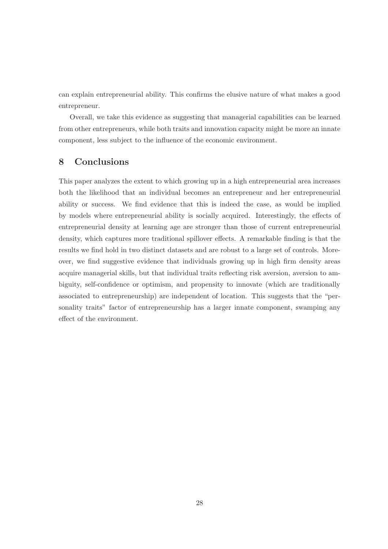can explain entrepreneurial ability. This confirms the elusive nature of what makes a good entrepreneur.

Overall, we take this evidence as suggesting that managerial capabilities can be learned from other entrepreneurs, while both traits and innovation capacity might be more an innate component, less subject to the influence of the economic environment.

# <span id="page-28-0"></span>8 Conclusions

This paper analyzes the extent to which growing up in a high entrepreneurial area increases both the likelihood that an individual becomes an entrepreneur and her entrepreneurial ability or success. We find evidence that this is indeed the case, as would be implied by models where entrepreneurial ability is socially acquired. Interestingly, the effects of entrepreneurial density at learning age are stronger than those of current entrepreneurial density, which captures more traditional spillover effects. A remarkable finding is that the results we find hold in two distinct datasets and are robust to a large set of controls. Moreover, we find suggestive evidence that individuals growing up in high firm density areas acquire managerial skills, but that individual traits reflecting risk aversion, aversion to ambiguity, self-confidence or optimism, and propensity to innovate (which are traditionally associated to entrepreneurship) are independent of location. This suggests that the "personality traits" factor of entrepreneurship has a larger innate component, swamping any effect of the environment.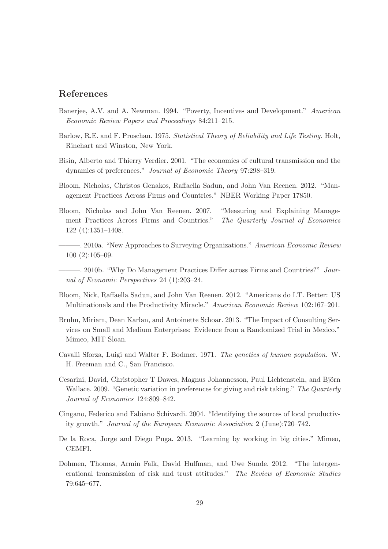### References

- <span id="page-29-8"></span>Banerjee, A.V. and A. Newman. 1994. "Poverty, Incentives and Development." *American Economic Review Papers and Proceedings* 84:211–215.
- <span id="page-29-4"></span>Barlow, R.E. and F. Proschan. 1975. *Statistical Theory of Reliability and Life Testing*. Holt, Rinehart and Winston, New York.
- <span id="page-29-5"></span>Bisin, Alberto and Thierry Verdier. 2001. "The economics of cultural transmission and the dynamics of preferences." *Journal of Economic Theory* 97:298–319.
- <span id="page-29-13"></span>Bloom, Nicholas, Christos Genakos, Raffaella Sadun, and John Van Reenen. 2012. "Management Practices Across Firms and Countries." NBER Working Paper 17850.
- <span id="page-29-10"></span>Bloom, Nicholas and John Van Reenen. 2007. "Measuring and Explaining Management Practices Across Firms and Countries." *The Quarterly Journal of Economics* 122 (4):1351–1408.
- <span id="page-29-9"></span>———. 2010a. "New Approaches to Surveying Organizations." *American Economic Review* 100 (2):105–09.
- <span id="page-29-0"></span>———. 2010b. "Why Do Management Practices Differ across Firms and Countries?" *Journal of Economic Perspectives* 24 (1):203–24.
- <span id="page-29-11"></span>Bloom, Nick, Raffaella Sadun, and John Van Reenen. 2012. "Americans do I.T. Better: US Multinationals and the Productivity Miracle." *American Economic Review* 102:167–201.
- <span id="page-29-12"></span>Bruhn, Miriam, Dean Karlan, and Antoinette Schoar. 2013. "The Impact of Consulting Services on Small and Medium Enterprises: Evidence from a Randomized Trial in Mexico." Mimeo, MIT Sloan.
- <span id="page-29-7"></span>Cavalli Sforza, Luigi and Walter F. Bodmer. 1971. *The genetics of human population*. W. H. Freeman and C., San Francisco.
- <span id="page-29-6"></span>Cesarini, David, Christopher T Dawes, Magnus Johannesson, Paul Lichtenstein, and Björn Wallace. 2009. "Genetic variation in preferences for giving and risk taking." *The Quarterly Journal of Economics* 124:809–842.
- <span id="page-29-2"></span>Cingano, Federico and Fabiano Schivardi. 2004. "Identifying the sources of local productivity growth." *Journal of the European Economic Association* 2 (June):720–742.
- <span id="page-29-3"></span>De la Roca, Jorge and Diego Puga. 2013. "Learning by working in big cities." Mimeo, CEMFI.
- <span id="page-29-1"></span>Dohmen, Thomas, Armin Falk, David Huffman, and Uwe Sunde. 2012. "The intergenerational transmission of risk and trust attitudes." *The Review of Economic Studies* 79:645–677.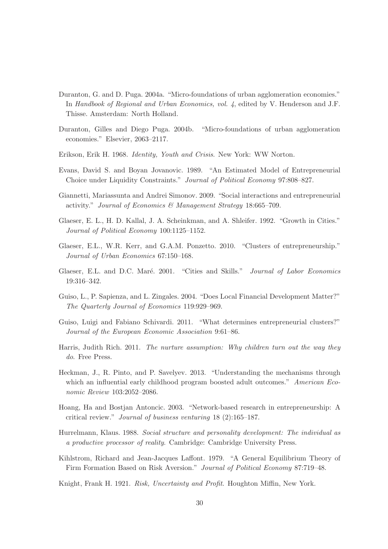- <span id="page-30-11"></span>Duranton, G. and D. Puga. 2004a. "Micro-foundations of urban agglomeration economies." In *Handbook of Regional and Urban Economics, vol. 4*, edited by V. Henderson and J.F. Thisse. Amsterdam: North Holland.
- <span id="page-30-3"></span>Duranton, Gilles and Diego Puga. 2004b. "Micro-foundations of urban agglomeration economies." Elsevier, 2063–2117.
- <span id="page-30-10"></span>Erikson, Erik H. 1968. *Identity, Youth and Crisis*. New York: WW Norton.
- <span id="page-30-12"></span>Evans, David S. and Boyan Jovanovic. 1989. "An Estimated Model of Entrepreneurial Choice under Liquidity Constraints." *Journal of Political Economy* 97:808–827.
- <span id="page-30-5"></span>Giannetti, Mariassunta and Andrei Simonov. 2009. "Social interactions and entrepreneurial activity." *Journal of Economics & Management Strategy* 18:665–709.
- <span id="page-30-14"></span>Glaeser, E. L., H. D. Kallal, J. A. Scheinkman, and A. Shleifer. 1992. "Growth in Cities." *Journal of Political Economy* 100:1125–1152.
- <span id="page-30-4"></span>Glaeser, E.L., W.R. Kerr, and G.A.M. Ponzetto. 2010. "Clusters of entrepreneurship." *Journal of Urban Economics* 67:150–168.
- <span id="page-30-6"></span>Glaeser, E.L. and D.C. Maré. 2001. "Cities and Skills." *Journal of Labor Economics* 19:316–342.
- <span id="page-30-13"></span>Guiso, L., P. Sapienza, and L. Zingales. 2004. "Does Local Financial Development Matter?" *The Quarterly Journal of Economics* 119:929–969.
- <span id="page-30-7"></span>Guiso, Luigi and Fabiano Schivardi. 2011. "What determines entrepreneurial clusters?" *Journal of the European Economic Association* 9:61–86.
- <span id="page-30-9"></span>Harris, Judith Rich. 2011. *The nurture assumption: Why children turn out the way they do*. Free Press.
- <span id="page-30-15"></span>Heckman, J., R. Pinto, and P. Savelyev. 2013. "Understanding the mechanisms through which an influential early childhood program boosted adult outcomes." *American Economic Review* 103:2052–2086.
- <span id="page-30-2"></span>Hoang, Ha and Bostjan Antoncic. 2003. "Network-based research in entrepreneurship: A critical review." *Journal of business venturing* 18 (2):165–187.
- <span id="page-30-8"></span>Hurrelmann, Klaus. 1988. *Social structure and personality development: The individual as a productive processor of reality*. Cambridge: Cambridge University Press.
- <span id="page-30-1"></span>Kihlstrom, Richard and Jean-Jacques Laffont. 1979. "A General Equilibrium Theory of Firm Formation Based on Risk Aversion." *Journal of Political Economy* 87:719–48.
- <span id="page-30-0"></span>Knight, Frank H. 1921. *Risk, Uncertainty and Profit*. Houghton Miffin, New York.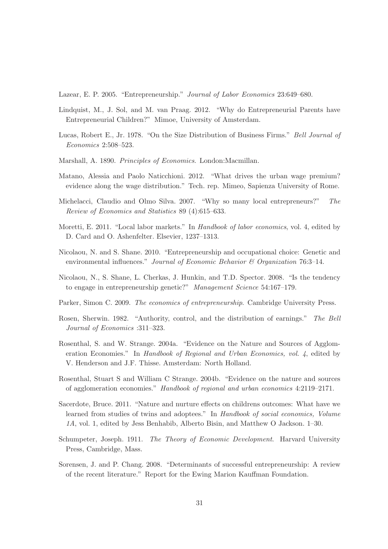<span id="page-31-3"></span>Lazear, E. P. 2005. "Entrepreneurship." *Journal of Labor Economics* 23:649–680.

- <span id="page-31-5"></span>Lindquist, M., J. Sol, and M. van Praag. 2012. "Why do Entrepreneurial Parents have Entrepreneurial Children?" Mimoe, University of Amsterdam.
- <span id="page-31-0"></span>Lucas, Robert E., Jr. 1978. "On the Size Distribution of Business Firms." *Bell Journal of Economics* 2:508–523.
- <span id="page-31-15"></span>Marshall, A. 1890. *Principles of Economics*. London:Macmillan.
- <span id="page-31-11"></span>Matano, Alessia and Paolo Naticchioni. 2012. "What drives the urban wage premium? evidence along the wage distribution." Tech. rep. Mimeo, Sapienza University of Rome.
- <span id="page-31-8"></span>Michelacci, Claudio and Olmo Silva. 2007. "Why so many local entrepreneurs?" *The Review of Economics and Statistics* 89 (4):615–633.
- <span id="page-31-13"></span>Moretti, E. 2011. "Local labor markets." In *Handbook of labor economics*, vol. 4, edited by D. Card and O. Ashenfelter. Elsevier, 1237–1313.
- <span id="page-31-7"></span>Nicolaou, N. and S. Shane. 2010. "Entrepreneurship and occupational choice: Genetic and environmental influences." *Journal of Economic Behavior & Organization* 76:3–14.
- <span id="page-31-6"></span>Nicolaou, N., S. Shane, L. Cherkas, J. Hunkin, and T.D. Spector. 2008. "Is the tendency to engage in entrepreneurship genetic?" *Management Science* 54:167–179.
- <span id="page-31-4"></span>Parker, Simon C. 2009. *The economics of entrepreneurship*. Cambridge University Press.
- <span id="page-31-1"></span>Rosen, Sherwin. 1982. "Authority, control, and the distribution of earnings." *The Bell Journal of Economics* :311–323.
- <span id="page-31-12"></span>Rosenthal, S. and W. Strange. 2004a. "Evidence on the Nature and Sources of Agglomeration Economies." In *Handbook of Regional and Urban Economics, vol. 4*, edited by V. Henderson and J.F. Thisse. Amsterdam: North Holland.
- <span id="page-31-10"></span>Rosenthal, Stuart S and William C Strange. 2004b. "Evidence on the nature and sources of agglomeration economies." *Handbook of regional and urban economics* 4:2119–2171.
- <span id="page-31-9"></span>Sacerdote, Bruce. 2011. "Nature and nurture effects on childrens outcomes: What have we learned from studies of twins and adoptees." In *Handbook of social economics, Volume 1A*, vol. 1, edited by Jess Benhabib, Alberto Bisin, and Matthew O Jackson. 1–30.
- <span id="page-31-2"></span>Schumpeter, Joseph. 1911. *The Theory of Economic Development*. Harvard University Press, Cambridge, Mass.
- <span id="page-31-14"></span>Sorensen, J. and P. Chang. 2008. "Determinants of successful entrepreneurship: A review of the recent literature." Report for the Ewing Marion Kauffman Foundation.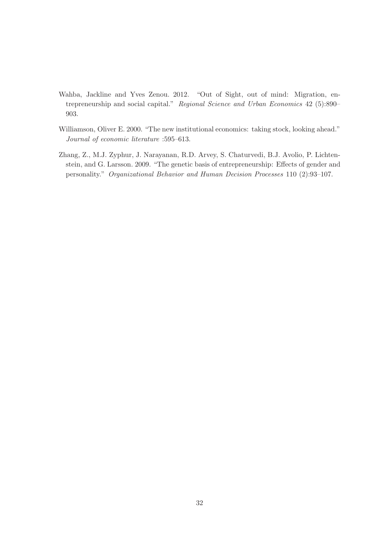- <span id="page-32-1"></span>Wahba, Jackline and Yves Zenou. 2012. "Out of Sight, out of mind: Migration, entrepreneurship and social capital." *Regional Science and Urban Economics* 42 (5):890– 903.
- <span id="page-32-2"></span>Williamson, Oliver E. 2000. "The new institutional economics: taking stock, looking ahead." *Journal of economic literature* :595–613.
- <span id="page-32-0"></span>Zhang, Z., M.J. Zyphur, J. Narayanan, R.D. Arvey, S. Chaturvedi, B.J. Avolio, P. Lichtenstein, and G. Larsson. 2009. "The genetic basis of entrepreneurship: Effects of gender and personality." *Organizational Behavior and Human Decision Processes* 110 (2):93–107.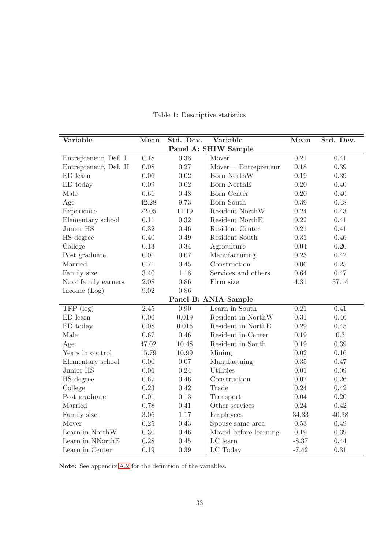| Variable              | Mean  | Std. Dev. | Variable                         | Mean     | Std. Dev. |
|-----------------------|-------|-----------|----------------------------------|----------|-----------|
|                       |       |           | Panel A: SHIW Sample             |          |           |
| Entrepreneur, Def. I  | 0.18  | 0.38      | Mover                            | 0.21     | 0.41      |
| Entrepreneur, Def. II | 0.08  | 0.27      | Mover-Entrepreneur               | 0.18     | 0.39      |
| $ED$ learn            | 0.06  | 0.02      | Born NorthW                      | 0.19     | 0.39      |
| ED today              | 0.09  | 0.02      | Born NorthE                      | 0.20     | 0.40      |
| Male                  | 0.61  | 0.48      | Born Center                      | 0.20     | 0.40      |
| Age                   | 42.28 | 9.73      | Born South                       | 0.39     | 0.48      |
| Experience            | 22.05 | 11.19     | Resident $\operatorname{NorthW}$ | 0.24     | 0.43      |
| Elementary school     | 0.11  | 0.32      | Resident NorthE                  | 0.22     | 0.41      |
| Junior HS             | 0.32  | 0.46      | Resident Center                  | 0.21     | 0.41      |
| HS degree             | 0.40  | 0.49      | Resident South                   | 0.31     | 0.46      |
| College               | 0.13  | 0.34      | Agriculture                      | 0.04     | 0.20      |
| Post graduate         | 0.01  | 0.07      | Manufacturing                    | 0.23     | 0.42      |
| Married               | 0.71  | 0.45      | Construction                     | 0.06     | 0.25      |
| Family size           | 3.40  | 1.18      | Services and others              | 0.64     | 0.47      |
| N. of family earners  | 2.08  | 0.86      | Firm size                        | 4.31     | 37.14     |
| Income (Log)          | 9.02  | 0.86      |                                  |          |           |
|                       |       |           | Panel B: ANIA Sample             |          |           |
| $TFP$ (log)           | 2.45  | 0.90      | Learn in South                   | 0.21     | 0.41      |
| $ED$ learn            | 0.06  | 0.019     | Resident in NorthW               | 0.31     | 0.46      |
| ED today              | 0.08  | 0.015     | Resident in NorthE               | 0.29     | 0.45      |
| Male                  | 0.67  | 0.46      | Resident in Center               | 0.19     | $0.3\,$   |
| Age                   | 47.02 | 10.48     | Resident in South                | 0.19     | 0.39      |
| Years in control      | 15.79 | 10.99     | Mining                           | 0.02     | 0.16      |
| Elementary school     | 0.00  | 0.07      | Manufactuing                     | 0.35     | 0.47      |
| Junior HS             | 0.06  | 0.24      | Utilities                        | 0.01     | 0.09      |
| HS degree             | 0.67  | 0.46      | Construction                     | 0.07     | 0.26      |
| College               | 0.23  | 0.42      | Trade                            | 0.24     | 0.42      |
| Post graduate         | 0.01  | 0.13      | Transport                        | 0.04     | 0.20      |
| Married               | 0.78  | 0.41      | Other services                   | 0.24     | 0.42      |
| Family size           | 3.06  | 1.17      | Employees                        | 34.33    | 40.38     |
| Mover                 | 0.25  | 0.43      | Spouse same area                 | $0.53\,$ | 0.49      |
| Learn in NorthW       | 0.30  | 0.46      | Moved before learning            | 0.19     | 0.39      |
| Learn in NNorthE      | 0.28  | 0.45      | LC learn                         | $-8.37$  | 0.44      |
| Learn in Center       | 0.19  | 0.39      | LC Today                         | $-7.42$  | 0.31      |

# Table 1: Descriptive statistics

Note: See appendix [A.2](#page-45-0) for the definition of the variables.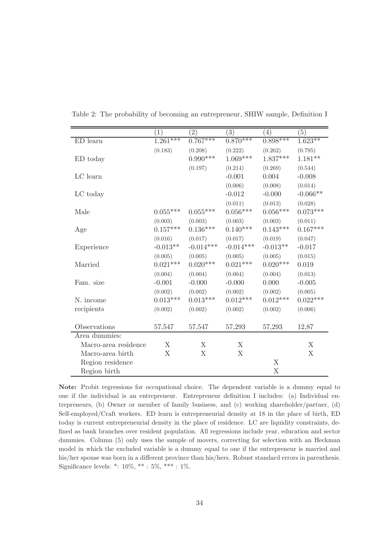|                      | $\left(1\right)$ | $\left( 2\right)$ | $\left( 3\right)$ | $\left(4\right)$ | (5)         |
|----------------------|------------------|-------------------|-------------------|------------------|-------------|
| ED learn             | $1.261***$       | $0.767***$        | $0.870***$        | $0.898***$       | $1.623**$   |
|                      | (0.183)          | (0.208)           | (0.222)           | (0.262)          | (0.795)     |
| ED today             |                  | $0.990***$        | $1.069***$        | $1.837***$       | $1.181**$   |
|                      |                  | (0.197)           | (0.214)           | (0.269)          | (0.544)     |
| LC learn             |                  |                   | $-0.001$          | 0.004            | $-0.008$    |
|                      |                  |                   | (0.006)           | (0.008)          | (0.014)     |
| LC today             |                  |                   | $-0.012$          | $-0.000$         | $-0.066**$  |
|                      |                  |                   | (0.011)           | (0.013)          | (0.028)     |
| Male                 | $0.055***$       | $0.055***$        | $0.056***$        | $0.056^{***}\;$  | $0.073***$  |
|                      | (0.003)          | (0.003)           | (0.003)           | (0.003)          | (0.011)     |
| Age                  | $0.157***$       | $0.136***$        | $0.140***$        | $0.143***$       | $0.167***$  |
|                      | (0.016)          | (0.017)           | (0.017)           | (0.019)          | (0.047)     |
| Experience           | $-0.013**$       | $-0.014***$       | $-0.014***$       | $-0.013**$       | $-0.017$    |
|                      | (0.005)          | (0.005)           | (0.005)           | (0.005)          | (0.015)     |
| Married              | $0.021***$       | $0.020***$        | $0.021***$        | $0.020***$       | 0.019       |
|                      | (0.004)          | (0.004)           | (0.004)           | (0.004)          | (0.013)     |
| Fam. size            | $-0.001$         | $-0.000$          | $-0.000$          | 0.000            | $-0.005$    |
|                      | (0.002)          | (0.002)           | (0.002)           | (0.002)          | (0.005)     |
| N. income            | $0.013***$       | $0.013***$        | $0.012***$        | $0.012***$       | $0.022***$  |
| recipients           | (0.002)          | (0.002)           | (0.002)           | (0.002)          | (0.006)     |
|                      |                  |                   |                   |                  |             |
| Observations         | 57,547           | 57,547            | 57,293            | 57,293           | 12,87       |
| Area dummies:        |                  |                   |                   |                  |             |
| Macro-area residence | X                | X                 | X                 |                  | X           |
| Macro-area birth     | X                | X                 | X                 |                  | $\mathbf X$ |
| Region residence     |                  |                   |                   | X                |             |
| Region birth         |                  |                   |                   | X                |             |

Table 2: The probability of becoming an entrepreneur, SHIW sample, Definition I

Note: Probit regressions for occupational choice. The dependent variable is a dummy equal to one if the individual is an entrepreneur. Entrepreneur definition I includes: (a) Individual entrepreneurs, (b) Owner or member of family business, and (c) working shareholder/partner, (d) Self-employed/Craft workers. ED learn is entrepreneurial density at 18 in the place of birth, ED today is current entrepreneurial density in the place of residence. LC are liquidity constraints, defined as bank branches over resident population. All regressions include year, education and sector dummies. Column (5) only uses the sample of movers, correcting for selection with an Heckman model in which the excluded variable is a dummy equal to one if the entrepreneur is married and his/her spouse was born in a different province than his/hers. Robust standard errors in parenthesis. Significance levels:  $*$ : 10%,  $**$ : 5%,  $***$ : 1%.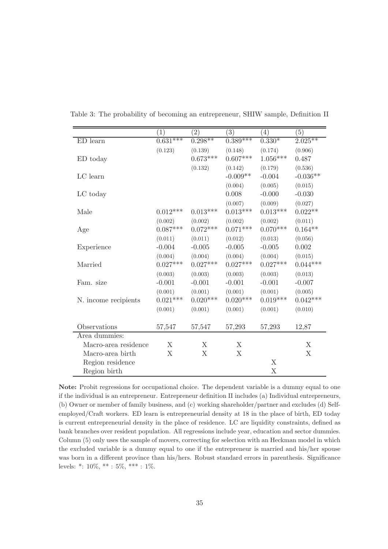|                      | $\left(1\right)$ | $\left( 2\right)$ | (3)        | $\left(4\right)$          | (5)        |
|----------------------|------------------|-------------------|------------|---------------------------|------------|
| $ED$ learn           | $0.631***$       | $0.298**$         | $0.389***$ | $0.330^{\ast}$            | $2.025**$  |
|                      | (0.123)          | (0.139)           | (0.148)    | (0.174)                   | (0.906)    |
| ED today             |                  | $0.673***$        | $0.607***$ | $1.056***$                | 0.487      |
|                      |                  | (0.132)           | (0.142)    | (0.179)                   | (0.536)    |
| LC learn             |                  |                   | $-0.009**$ | $-0.004$                  | $-0.036**$ |
|                      |                  |                   | (0.004)    | (0.005)                   | (0.015)    |
| LC today             |                  |                   | 0.008      | $-0.000$                  | $-0.030$   |
|                      |                  |                   | (0.007)    | (0.009)                   | (0.027)    |
| Male                 | $0.012***$       | $0.013***$        | $0.013***$ | $0.013***$                | $0.022**$  |
|                      | (0.002)          | (0.002)           | (0.002)    | (0.002)                   | (0.011)    |
| Age                  | $0.087***$       | $0.072***$        | $0.071***$ | $0.070***$                | $0.164**$  |
|                      | (0.011)          | (0.011)           | (0.012)    | (0.013)                   | (0.056)    |
| Experience           | $-0.004$         | $-0.005$          | $-0.005$   | $-0.005$                  | 0.002      |
|                      | (0.004)          | (0.004)           | (0.004)    | (0.004)                   | (0.015)    |
| Married              | $0.027***$       | $0.027***$        | $0.027***$ | $0.027***$                | $0.044***$ |
|                      | (0.003)          | (0.003)           | (0.003)    | (0.003)                   | (0.013)    |
| Fam. size            | $-0.001$         | $-0.001$          | $-0.001$   | $-0.001$                  | $-0.007$   |
|                      | (0.001)          | (0.001)           | (0.001)    | (0.001)                   | (0.005)    |
| N. income recipients | $0.021***$       | $0.020***$        | $0.020***$ | $0.019***$                | $0.042***$ |
|                      | (0.001)          | (0.001)           | (0.001)    | (0.001)                   | (0.010)    |
|                      |                  |                   |            |                           |            |
| Observations         | 57,547           | 57,547            | 57,293     | 57,293                    | 12,87      |
| Area dummies:        |                  |                   |            |                           |            |
| Macro-area residence | X                | X                 | X          |                           | X          |
| Macro-area birth     | X                | X                 | X          |                           | X          |
| Region residence     |                  |                   |            | X                         |            |
| Region birth         |                  |                   |            | $\boldsymbol{\mathrm{X}}$ |            |

Table 3: The probability of becoming an entrepreneur, SHIW sample, Definition II

Note: Probit regressions for occupational choice. The dependent variable is a dummy equal to one if the individual is an entrepreneur. Entrepreneur definition II includes (a) Individual entrepreneurs, (b) Owner or member of family business, and (c) working shareholder/partner and excludes (d) Selfemployed/Craft workers. ED learn is entrepreneurial density at 18 in the place of birth, ED today is current entrepreneurial density in the place of residence. LC are liquidity constraints, defined as bank branches over resident population. All regressions include year, education and sector dummies. Column (5) only uses the sample of movers, correcting for selection with an Heckman model in which the excluded variable is a dummy equal to one if the entrepreneur is married and his/her spouse was born in a different province than his/hers. Robust standard errors in parenthesis. Significance levels: \*: 10%, \*\* : 5%, \*\*\* : 1%.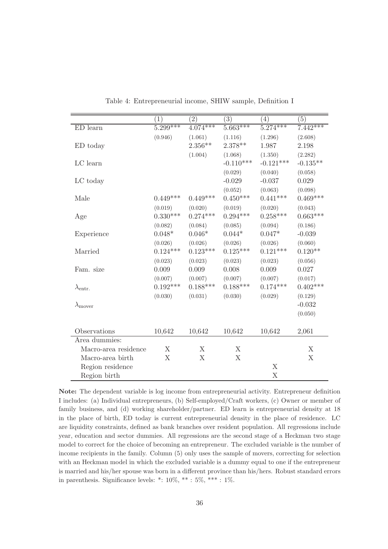|                          | $\left(1\right)$ | $\left( 2\right)$ | $\left( 3\right)$ | (4)         | (5)                       |
|--------------------------|------------------|-------------------|-------------------|-------------|---------------------------|
| ED learn                 | $5.299***$       | $4.074***$        | $5.663***$        | $5.274***$  | $7.442***$                |
|                          | (0.946)          | (1.061)           | (1.116)           | (1.296)     | (2.608)                   |
| ED today                 |                  | $2.356**$         | $2.378**$         | 1.987       | 2.198                     |
|                          |                  | (1.004)           | (1.068)           | (1.350)     | (2.282)                   |
| LC learn                 |                  |                   | $-0.110***$       | $-0.121***$ | $-0.135**$                |
|                          |                  |                   | (0.029)           | (0.040)     | (0.058)                   |
| LC today                 |                  |                   | $-0.029$          | $-0.037$    | 0.029                     |
|                          |                  |                   | (0.052)           | (0.063)     | (0.098)                   |
| Male                     | $0.449***$       | $0.449***$        | $0.450***$        | $0.441***$  | $0.469***$                |
|                          | (0.019)          | (0.020)           | (0.019)           | (0.020)     | (0.043)                   |
| Age                      | $0.330***$       | $0.274***$        | $0.294***$        | $0.258***$  | $0.663***$                |
|                          | (0.082)          | (0.084)           | (0.085)           | (0.094)     | (0.186)                   |
| Experience               | $0.048*$         | $0.046*$          | $0.044*$          | $0.047*$    | $-0.039$                  |
|                          | (0.026)          | (0.026)           | (0.026)           | (0.026)     | (0.060)                   |
| Married                  | $0.124***$       | $0.123***$        | $0.125***$        | $0.121***$  | $0.120**$                 |
|                          | (0.023)          | (0.023)           | (0.023)           | (0.023)     | (0.056)                   |
| Fam. size                | 0.009            | 0.009             | 0.008             | 0.009       | 0.027                     |
|                          | (0.007)          | (0.007)           | (0.007)           | (0.007)     | (0.017)                   |
| $\lambda_{\text{entr.}}$ | $0.192***$       | $0.188***$        | $0.188***$        | $0.174***$  | $0.402***$                |
|                          | (0.030)          | (0.031)           | (0.030)           | (0.029)     | (0.129)                   |
| $\lambda_{\text{move}}$  |                  |                   |                   |             | $-0.032$                  |
|                          |                  |                   |                   |             | (0.050)                   |
|                          |                  |                   |                   |             |                           |
| Observations             | 10,642           | 10,642            | 10,642            | 10,642      | 2,061                     |
| Area dummies:            |                  |                   |                   |             |                           |
| Macro-area residence     | X                | X                 | X                 |             | $\boldsymbol{\mathrm{X}}$ |
| Macro-area birth         | X                | X                 | X                 |             | $\boldsymbol{\mathrm{X}}$ |
| Region residence         |                  |                   |                   | X           |                           |
| Region birth             |                  |                   |                   | X           |                           |

<span id="page-36-0"></span>Table 4: Entrepreneurial income, SHIW sample, Definition I

Note: The dependent variable is log income from entrepreneurial activity. Entrepreneur definition I includes: (a) Individual entrepreneurs, (b) Self-employed/Craft workers, (c) Owner or member of family business, and (d) working shareholder/partner. ED learn is entrepreneurial density at 18 in the place of birth, ED today is current entrepreneurial density in the place of residence. LC are liquidity constraints, defined as bank branches over resident population. All regressions include year, education and sector dummies. All regressions are the second stage of a Heckman two stage model to correct for the choice of becoming an entrepreneur. The excluded variable is the number of income recipients in the family. Column (5) only uses the sample of movers, correcting for selection with an Heckman model in which the excluded variable is a dummy equal to one if the entrepreneur is married and his/her spouse was born in a different province than his/hers. Robust standard errors in parenthesis. Significance levels: \*:  $10\%,$  \*\* :  $5\%,$  \*\*\* :  $1\%$ .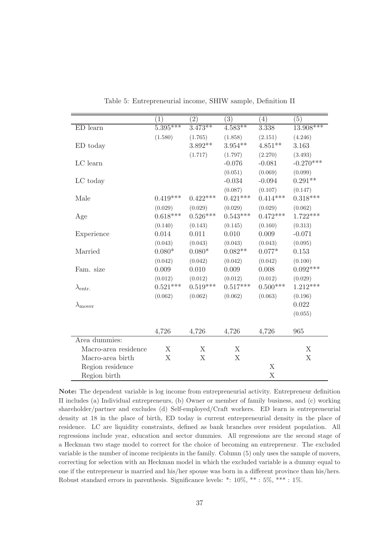|                          | $\left(1\right)$      | $\left( 2\right)$ | (3)        | (4)         | (5)         |
|--------------------------|-----------------------|-------------------|------------|-------------|-------------|
| ED learn                 | $5.\overline{395***}$ | $3.473**$         | $4.583**$  | 3.338       | $13.908***$ |
|                          | (1.580)               | (1.765)           | (1.858)    | (2.151)     | (4.246)     |
| ED today                 |                       | $3.892**$         | $3.954**$  | $4.851**$   | 3.163       |
|                          |                       | (1.717)           | (1.797)    | (2.270)     | (3.493)     |
| LC learn                 |                       |                   | $-0.076$   | $-0.081$    | $-0.270***$ |
|                          |                       |                   | (0.051)    | (0.069)     | (0.099)     |
| LC today                 |                       |                   | $-0.034$   | $-0.094$    | $0.291**$   |
|                          |                       |                   | (0.087)    | (0.107)     | (0.147)     |
| Male                     | $0.419***$            | $0.422***$        | $0.421***$ | $0.414***$  | $0.318***$  |
|                          | (0.029)               | (0.029)           | (0.029)    | (0.029)     | (0.062)     |
| Age                      | $0.618***$            | $0.526***$        | $0.543***$ | $0.472***$  | $1.722***$  |
|                          | (0.140)               | (0.143)           | (0.145)    | (0.160)     | (0.313)     |
| Experience               | 0.014                 | 0.011             | 0.010      | 0.009       | $-0.071$    |
|                          | (0.043)               | (0.043)           | (0.043)    | (0.043)     | (0.095)     |
| Married                  | $0.080*$              | $0.080*$          | $0.082**$  | $0.077*$    | 0.153       |
|                          | (0.042)               | (0.042)           | (0.042)    | (0.042)     | (0.100)     |
| Fam. size                | 0.009                 | 0.010             | 0.009      | 0.008       | $0.092***$  |
|                          | (0.012)               | (0.012)           | (0.012)    | (0.012)     | (0.029)     |
| $\lambda_{\text{entr.}}$ | $0.521***$            | $0.519***$        | $0.517***$ | $0.500***$  | $1.212***$  |
|                          | (0.062)               | (0.062)           | (0.062)    | (0.063)     | (0.196)     |
| $\lambda_{\text{move}}$  |                       |                   |            |             | 0.022       |
|                          |                       |                   |            |             | (0.055)     |
|                          |                       |                   |            |             |             |
|                          | 4,726                 | 4,726             | 4,726      | 4,726       | 965         |
| Area dummies:            |                       |                   |            |             |             |
| Macro-area residence     | X                     | X                 | X          |             | X           |
| Macro-area birth         | X                     | X                 | X          |             | X           |
| Region residence         |                       |                   |            | X           |             |
| Region birth             |                       |                   |            | $\mathbf X$ |             |

<span id="page-37-0"></span>Table 5: Entrepreneurial income, SHIW sample, Definition II

Note: The dependent variable is log income from entrepreneurial activity. Entrepreneur definition II includes (a) Individual entrepreneurs, (b) Owner or member of family business, and (c) working shareholder/partner and excludes (d) Self-employed/Craft workers. ED learn is entrepreneurial density at 18 in the place of birth, ED today is current entrepreneurial density in the place of residence. LC are liquidity constraints, defined as bank branches over resident population. All regressions include year, education and sector dummies. All regressions are the second stage of a Heckman two stage model to correct for the choice of becoming an entrepreneur. The excluded variable is the number of income recipients in the family. Column (5) only uses the sample of movers, correcting for selection with an Heckman model in which the excluded variable is a dummy equal to one if the entrepreneur is married and his/her spouse was born in a different province than his/hers. Robust standard errors in parenthesis. Significance levels: \*: 10%, \*\* : 5%, \*\*\* : 1%.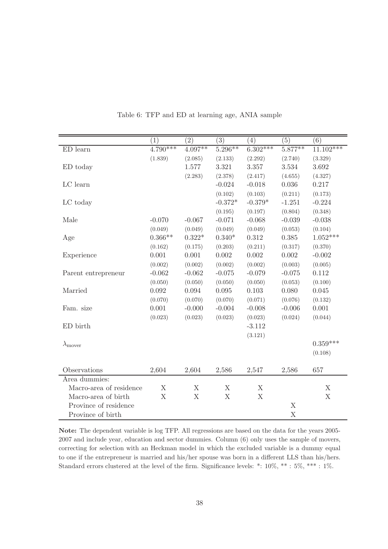|                         | (1)         | $\overline{(2)}$ | (3)         | (4)         | $\overline{(5)}$ | (6)         |
|-------------------------|-------------|------------------|-------------|-------------|------------------|-------------|
| ED learn                | $4.790***$  | $4.097**$        | $5.296***$  | $6.302***$  | $5.877**$        | $11.102***$ |
|                         | (1.839)     | (2.085)          | (2.133)     | (2.292)     | (2.740)          | (3.329)     |
| ED today                |             | 1.577            | 3.321       | 3.357       | 3.534            | 3.692       |
|                         |             | (2.283)          | (2.378)     | (2.417)     | (4.655)          | (4.327)     |
| LC learn                |             |                  | $-0.024$    | $-0.018$    | 0.036            | 0.217       |
|                         |             |                  | (0.102)     | (0.103)     | (0.211)          | (0.173)     |
| LC today                |             |                  | $-0.372*$   | $-0.379*$   | $-1.251$         | $-0.224$    |
|                         |             |                  | (0.195)     | (0.197)     | (0.804)          | (0.348)     |
| Male                    | $-0.070$    | $-0.067$         | $-0.071$    | $-0.068$    | $-0.039$         | $-0.038$    |
|                         | (0.049)     | (0.049)          | (0.049)     | (0.049)     | (0.053)          | (0.104)     |
| Age                     | $0.366**$   | $0.322*$         | $0.340*$    | 0.312       | 0.385            | $1.052***$  |
|                         | (0.162)     | (0.175)          | (0.203)     | (0.211)     | (0.317)          | (0.370)     |
| Experience              | 0.001       | $0.001\,$        | $0.002\,$   | $0.002\,$   | $0.002\,$        | $-0.002$    |
|                         | (0.002)     | (0.002)          | (0.002)     | (0.002)     | (0.003)          | (0.005)     |
| Parent entrepreneur     | $-0.062$    | $-0.062$         | $-0.075$    | $-0.079$    | $-0.075$         | 0.112       |
|                         | (0.050)     | (0.050)          | (0.050)     | (0.050)     | (0.053)          | (0.100)     |
| Married                 | 0.092       | 0.094            | 0.095       | 0.103       | 0.080            | 0.045       |
|                         | (0.070)     | (0.070)          | (0.070)     | (0.071)     | (0.076)          | (0.132)     |
| Fam. size               | 0.001       | $-0.000$         | $-0.004$    | $-0.008$    | $-0.006$         | 0.001       |
|                         | (0.023)     | (0.023)          | (0.023)     | (0.023)     | (0.024)          | (0.044)     |
| ED birth                |             |                  |             | $-3.112$    |                  |             |
|                         |             |                  |             | (3.121)     |                  |             |
| $\lambda_{\text{move}}$ |             |                  |             |             |                  | $0.359***$  |
|                         |             |                  |             |             |                  | (0.108)     |
| Observations            | 2,604       | 2,604            | 2,586       | 2,547       | 2,586            | 657         |
| Area dummies:           |             |                  |             |             |                  |             |
| Macro-area of residence | $\mathbf X$ | X                | X           | X           |                  | $\mathbf X$ |
| Macro-area of birth     | X           | $\mathbf X$      | $\mathbf X$ | $\mathbf X$ |                  | $\mathbf X$ |
| Province of residence   |             |                  |             |             | X                |             |
| Province of birth       |             |                  |             |             | $\mathbf X$      |             |

<span id="page-38-0"></span>Table 6: TFP and ED at learning age, ANIA sample

Note: The dependent variable is log TFP. All regressions are based on the data for the years 2005- 2007 and include year, education and sector dummies. Column (6) only uses the sample of movers, correcting for selection with an Heckman model in which the excluded variable is a dummy equal to one if the entrepreneur is married and his/her spouse was born in a different LLS than his/hers. Standard errors clustered at the level of the firm. Significance levels: \*: 10%, \*\* : 5%, \*\*\* : 1%.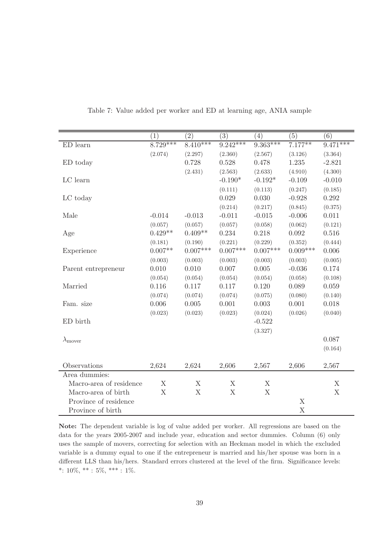|                         | $\left(1\right)$ | $\overline{(2)}$ | $\overline{(3)}$          | $\left(4\right)$ | $\overline{(5)}$ | (6)         |
|-------------------------|------------------|------------------|---------------------------|------------------|------------------|-------------|
| ED learn                | $8.729***$       | $8.410***$       | $9.242***$                | $9.363***$       | $7.177***$       | $9.471***$  |
|                         | (2.074)          | (2.297)          | (2.360)                   | (2.567)          | (3.126)          | (3.364)     |
| ED today                |                  | 0.728            | 0.528                     | 0.478            | 1.235            | $-2.821$    |
|                         |                  | (2.431)          | (2.563)                   | (2.633)          | (4.910)          | (4.300)     |
| LC learn                |                  |                  | $-0.190*$                 | $-0.192*$        | $-0.109$         | $-0.010$    |
|                         |                  |                  | (0.111)                   | (0.113)          | (0.247)          | (0.185)     |
| LC today                |                  |                  | 0.029                     | 0.030            | $-0.928$         | 0.292       |
|                         |                  |                  | (0.214)                   | (0.217)          | (0.845)          | (0.375)     |
| Male                    | $-0.014$         | $-0.013$         | $-0.011$                  | $-0.015$         | $-0.006$         | 0.011       |
|                         | (0.057)          | (0.057)          | (0.057)                   | (0.058)          | (0.062)          | (0.121)     |
| Age                     | $0.429**$        | $0.409**$        | 0.234                     | 0.218            | 0.092            | 0.516       |
|                         | (0.181)          | (0.190)          | (0.221)                   | (0.229)          | (0.352)          | (0.444)     |
| Experience              | $0.007**$        | $0.007***$       | $0.007***$                | $0.007***$       | $0.009***$       | $0.006\,$   |
|                         | (0.003)          | (0.003)          | (0.003)                   | (0.003)          | (0.003)          | (0.005)     |
| Parent entrepreneur     | 0.010            | 0.010            | 0.007                     | 0.005            | $-0.036$         | 0.174       |
|                         | (0.054)          | (0.054)          | (0.054)                   | (0.054)          | (0.058)          | (0.108)     |
| Married                 | 0.116            | 0.117            | 0.117                     | 0.120            | 0.089            | 0.059       |
|                         | (0.074)          | (0.074)          | (0.074)                   | (0.075)          | (0.080)          | (0.140)     |
| Fam. size               | 0.006            | 0.005            | 0.001                     | 0.003            | 0.001            | 0.018       |
|                         | (0.023)          | (0.023)          | (0.023)                   | (0.024)          | (0.026)          | (0.040)     |
| ED birth                |                  |                  |                           | $-0.522$         |                  |             |
|                         |                  |                  |                           | (3.327)          |                  |             |
| $\lambda_{\text{move}}$ |                  |                  |                           |                  |                  | 0.087       |
|                         |                  |                  |                           |                  |                  | (0.164)     |
|                         |                  |                  |                           |                  |                  |             |
| Observations            | 2,624            | 2,624            | 2,606                     | 2,567            | 2,606            | 2,567       |
| Area dummies:           |                  |                  |                           |                  |                  |             |
| Macro-area of residence | X                | $\mathbf X$      | X                         | X                |                  | X           |
| Macro-area of birth     | X                | X                | $\boldsymbol{\mathrm{X}}$ | X                |                  | $\mathbf X$ |
| Province of residence   |                  |                  |                           |                  | $\mathbf X$      |             |
| Province of birth       |                  |                  |                           |                  | $\mathbf X$      |             |

<span id="page-39-0"></span>Table 7: Value added per worker and ED at learning age, ANIA sample

Note: The dependent variable is log of value added per worker. All regressions are based on the data for the years 2005-2007 and include year, education and sector dummies. Column (6) only uses the sample of movers, correcting for selection with an Heckman model in which the excluded variable is a dummy equal to one if the entrepreneur is married and his/her spouse was born in a different LLS than his/hers. Standard errors clustered at the level of the firm. Significance levels: \*:  $10\%,$  \*\* :  $5\%,$  \*\*\* :  $1\%$ .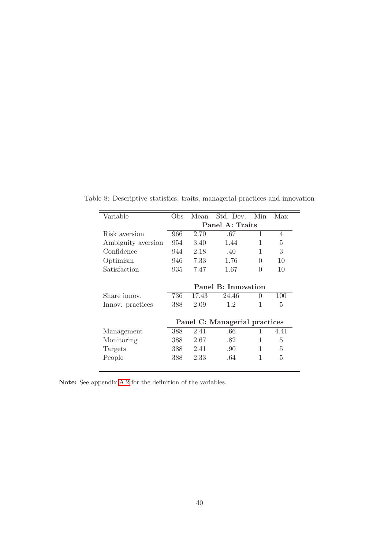<span id="page-40-0"></span>

| Variable           | Obs                 | Mean  | Std. Dev.                     | Min      | Max  |  |  |  |  |
|--------------------|---------------------|-------|-------------------------------|----------|------|--|--|--|--|
|                    | Panel A: Traits     |       |                               |          |      |  |  |  |  |
| Risk aversion      | 966                 | 2.70  | .67                           | 1        | 4    |  |  |  |  |
| Ambiguity aversion | 954                 | 3.40  | 1.44                          | 1        | 5    |  |  |  |  |
| Confidence         | 944                 | 2.18  | .40                           | 1        | 3    |  |  |  |  |
| Optimism           | 946                 | 7.33  | 1.76                          | 0        | 10   |  |  |  |  |
| Satisfaction       | 935                 | 7.47  | 1.67                          | $\Omega$ | 10   |  |  |  |  |
|                    |                     |       |                               |          |      |  |  |  |  |
|                    | Panel B: Innovation |       |                               |          |      |  |  |  |  |
| Share innov.       | 736                 | 17.43 | 24.46                         | 0        | 100  |  |  |  |  |
| Innov. practices   | 388                 | 2.09  | 1.2                           | 1        | 5    |  |  |  |  |
|                    |                     |       |                               |          |      |  |  |  |  |
|                    |                     |       | Panel C: Managerial practices |          |      |  |  |  |  |
| Management         | 388                 | 2.41  | .66                           | 1        | 4.41 |  |  |  |  |
| Monitoring         | 388                 | 2.67  | .82                           | 1        | 5    |  |  |  |  |
| Targets            | 388                 | 2.41  | .90                           | 1        | 5    |  |  |  |  |
| People             | 388                 | 2.33  | .64                           | 1        | 5    |  |  |  |  |
|                    |                     |       |                               |          |      |  |  |  |  |

Table 8: Descriptive statistics, traits, managerial practices and innovation

Note: See appendix [A.2](#page-45-0) for the definition of the variables.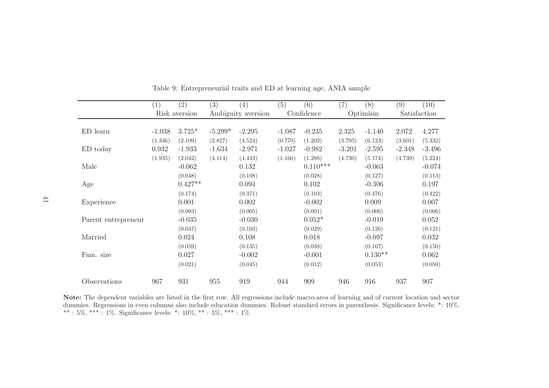|                     | (1)      | (2)           | (3)       | (4)                | (5)      | (6)        | (7)      | (8)       | (9)      | (10)         |
|---------------------|----------|---------------|-----------|--------------------|----------|------------|----------|-----------|----------|--------------|
|                     |          | Risk aversion |           | Ambiguity aversion |          | Confidence |          | Optimism  |          | Satisfaction |
|                     |          |               |           |                    |          |            |          |           |          |              |
| ED learn            | $-1.038$ | $3.725*$      | $-5.299*$ | $-2.295$           | $-1.087$ | $-0.235$   | 2.325    | $-1.140$  | 2.072    | 4.277        |
|                     | (1.346)  | (2.109)       | (2.827)   | (4.524)            | (0.770)  | (1.202)    | (3.795)  | (6.123)   | (3.601)  | (5.332)      |
| ED today            | 0.932    | $-1.933$      | $-1.634$  | $-2.971$           | $-1.027$ | $-0.982$   | $-3.201$ | $-2.595$  | $-2.348$ | $-3.496$     |
|                     | (1.935)  | (2.042)       | (4.114)   | (4.443)            | (1.166)  | (1.288)    | (4.730)  | (5.174)   | (4.739)  | (5.224)      |
| Male                |          | $-0.062$      |           | 0.132              |          | $0.110***$ |          | $-0.063$  |          | $-0.074$     |
|                     |          | (0.048)       |           | (0.108)            |          | (0.028)    |          | (0.127)   |          | (0.113)      |
| Age                 |          | $0.427**$     |           | 0.094              |          | 0.102      |          | $-0.306$  |          | 0.197        |
|                     |          | (0.174)       |           | (0.371)            |          | (0.103)    |          | (0.476)   |          | (0.422)      |
| Experience          |          | 0.001         |           | 0.002              |          | $-0.002$   |          | 0.009     |          | 0.007        |
|                     |          | (0.003)       |           | (0.005)            |          | (0.001)    |          | (0.006)   |          | (0.006)      |
| Parent entrepreneur |          | $-0.035$      |           | $-0.030$           |          | $0.052*$   |          | $-0.019$  |          | 0.052        |
|                     |          | (0.047)       |           | (0.103)            |          | (0.029)    |          | (0.126)   |          | (0.121)      |
| Married             |          | 0.024         |           | 0.108              |          | 0.018      |          | $-0.097$  |          | 0.032        |
|                     |          | (0.059)       |           | (0.135)            |          | (0.038)    |          | (0.167)   |          | (0.150)      |
| Fam. size           |          | 0.027         |           | $-0.002$           |          | $-0.001$   |          | $0.130**$ |          | 0.062        |
|                     |          | (0.021)       |           | (0.045)            |          | (0.012)    |          | (0.053)   |          | (0.050)      |
| Observations        | 967      | 931           | 955       | 919                | 944      | 909        | 946      | 916       | 937      | 907          |

Table 9: Entrepreneurial traits and ED at learning age, ANIA sample

<span id="page-41-0"></span>Note: The dependent variables are listed in the first row. All regressions include macro-area of learning and of current location and sector dummies. Regressions in even columns also include education dummies. Robust standard errors in parenthesis. Significance levels: \*: 10%, \*\* : 1%, \*\* : 1%, \*\* : 1%, \*\* : 1%, \*\* : 1%, \*\* : 1%, \*\* : 1%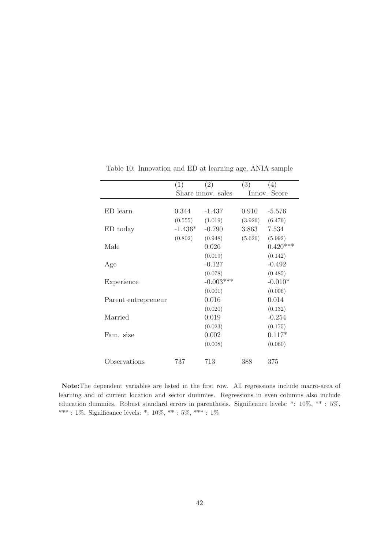|                     | (1)       | (2)                | (3)     | (4)          |
|---------------------|-----------|--------------------|---------|--------------|
|                     |           | Share innov. sales |         | Innov. Score |
|                     |           |                    |         |              |
| ED learn            | 0.344     | $-1.437$           | 0.910   | $-5.576$     |
|                     | (0.555)   | (1.019)            | (3.926) | (6.479)      |
| ED today            | $-1.436*$ | $-0.790$           | 3.863   | 7.534        |
|                     | (0.802)   | (0.948)            | (5.626) | (5.992)      |
| Male                |           | 0.026              |         | $0.420***$   |
|                     |           | (0.019)            |         | (0.142)      |
| Age                 |           | $-0.127$           |         | $-0.492$     |
|                     |           | (0.078)            |         | (0.485)      |
| Experience          |           | $-0.003***$        |         | $-0.010*$    |
|                     |           | (0.001)            |         | (0.006)      |
| Parent entrepreneur |           | 0.016              |         | 0.014        |
|                     |           | (0.020)            |         | (0.132)      |
| Married             |           | 0.019              |         | $-0.254$     |
|                     |           | (0.023)            |         | (0.175)      |
| Fam. size           |           | 0.002              |         | $0.117*$     |
|                     |           | (0.008)            |         | (0.060)      |
|                     |           |                    |         |              |
| Observations        | 737       | 713                | 388     | 375          |
|                     |           |                    |         |              |

<span id="page-42-0"></span>Table 10: Innovation and ED at learning age, ANIA sample

Note:The dependent variables are listed in the first row. All regressions include macro-area of learning and of current location and sector dummies. Regressions in even columns also include education dummies. Robust standard errors in parenthesis. Significance levels: \*: 10%, \*\* : 5%,  $***$  : 1%. Significance levels: \*: 10%, \*\* : 5%, \*\*\* : 1%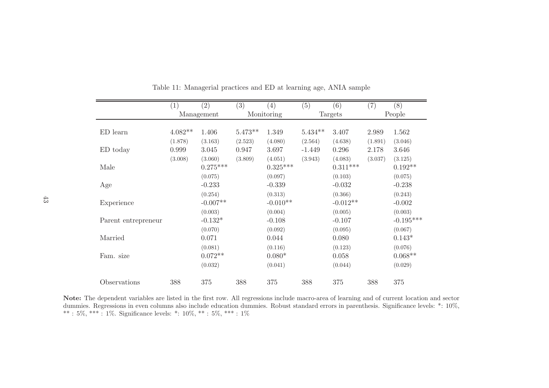|                     | $\left(1\right)$ | $\left( 2\right)$ | (3)       | $\left( 4\right)$ | (5)       | (6)        | (7)     | (8)         |
|---------------------|------------------|-------------------|-----------|-------------------|-----------|------------|---------|-------------|
|                     |                  | Management        |           | Monitoring        |           | Targets    |         | People      |
|                     |                  |                   |           |                   |           |            |         |             |
| ED learn            | $4.082**$        | 1.406             | $5.473**$ | 1.349             | $5.434**$ | 3.407      | 2.989   | 1.562       |
|                     | (1.878)          | (3.163)           | (2.523)   | (4.080)           | (2.564)   | (4.638)    | (1.891) | (3.046)     |
| ED today            | 0.999            | 3.045             | 0.947     | 3.697             | $-1.449$  | 0.296      | 2.178   | 3.646       |
|                     | (3.008)          | (3.060)           | (3.809)   | (4.051)           | (3.943)   | (4.083)    | (3.037) | (3.125)     |
| Male                |                  | $0.275***$        |           | $0.325***$        |           | $0.311***$ |         | $0.192**$   |
|                     |                  | (0.075)           |           | (0.097)           |           | (0.103)    |         | (0.075)     |
| Age                 |                  | $-0.233$          |           | $-0.339$          |           | $-0.032$   |         | $-0.238$    |
|                     |                  | (0.254)           |           | (0.313)           |           | (0.366)    |         | (0.243)     |
| Experience          |                  | $-0.007**$        |           | $-0.010**$        |           | $-0.012**$ |         | $-0.002$    |
|                     |                  | (0.003)           |           | (0.004)           |           | (0.005)    |         | (0.003)     |
| Parent entrepreneur |                  | $-0.132*$         |           | $-0.108$          |           | $-0.107$   |         | $-0.195***$ |
|                     |                  | (0.070)           |           | (0.092)           |           | (0.095)    |         | (0.067)     |
| Married             |                  | 0.071             |           | 0.044             |           | 0.080      |         | $0.143*$    |
|                     |                  | (0.081)           |           | (0.116)           |           | (0.123)    |         | (0.076)     |
| Fam. size           |                  | $0.072**$         |           | $0.080*$          |           | 0.058      |         | $0.068**$   |
|                     |                  | (0.032)           |           | (0.041)           |           | (0.044)    |         | (0.029)     |
| Observations        | 388              | 375               | 388       | 375               | 388       | 375        | 388     | 375         |

Table 11: Managerial practices and ED at learning age, ANIA sample

<span id="page-43-0"></span>Note: The dependent variables are listed in the first row. All regressions include macro-area of learning and of current location and sector dummies. Regressions in even columns also include education dummies. Robust standard errors in parenthesis. Significance levels: \*: 10%, \*\* : 5%, \*\*\* : 1%. Significance levels: \*: 10%, \*\* : 5%, \*\*\* : 1%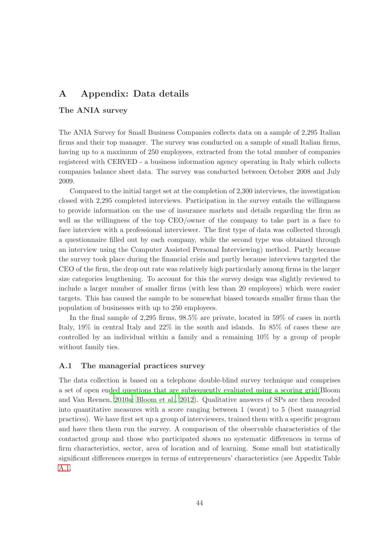# A Appendix: Data details

### The ANIA survey

The ANIA Survey for Small Business Companies collects data on a sample of 2,295 Italian firms and their top manager. The survey was conducted on a sample of small Italian firms, having up to a maximum of 250 employees, extracted from the total number of companies registered with CERVED - a business information agency operating in Italy which collects companies balance sheet data. The survey was conducted between October 2008 and July 2009.

Compared to the initial target set at the completion of 2,300 interviews, the investigation closed with 2,295 completed interviews. Participation in the survey entails the willingness to provide information on the use of insurance markets and details regarding the firm as well as the willingness of the top CEO/owner of the company to take part in a face to face interview with a professional interviewer. The first type of data was collected through a questionnaire filled out by each company, while the second type was obtained through an interview using the Computer Assisted Personal Interviewing) method. Partly because the survey took place during the financial crisis and partly because interviews targeted the CEO of the firm, the drop out rate was relatively high particularly among firms in the larger size categories lengthening. To account for this the survey design was slightly reviewed to include a larger number of smaller firms (with less than 20 employees) which were easier targets. This has caused the sample to be somewhat biased towards smaller firms than the population of businesses with up to 250 employees.

In the final sample of 2,295 firms, 98.5% are private, located in 59% of cases in north Italy, 19% in central Italy and 22% in the south and islands. In 85% of cases these are controlled by an individual within a family and a remaining 10% by a group of people without family ties.

#### <span id="page-44-0"></span>A.1 The managerial practices survey

The data collection is based on a telephone double-blind survey technique and comprises a set of open en[ded questions that are subsequently evaluated using a scoring grid\(](#page-29-9)Bloom and Van Reenen, [2010a](#page-29-9); [Bloom et al., 2012](#page-29-13)). Qualitative answers of SPs are then recoded into quantitative measures with a score ranging between 1 (worst) to 5 (best managerial practices). We have first set up a group of interviewers, trained them with a specific program and have then them run the survey. A comparison of the observable characteristics of the contacted group and those who participated shows no systematic differences in terms of firm characteristics, sector, area of location and of learning. Some small but statistically significant differences emerges in terms of entrepreneurs' characteristics (see Appedix Table [A.1.](#page-47-0)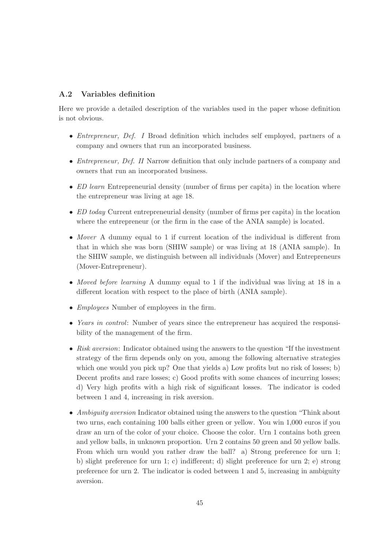### <span id="page-45-0"></span>A.2 Variables definition

Here we provide a detailed description of the variables used in the paper whose definition is not obvious.

- *Entrepreneur, Def. I* Broad definition which includes self employed, partners of a company and owners that run an incorporated business.
- *Entrepreneur, Def. II* Narrow definition that only include partners of a company and owners that run an incorporated business.
- *ED learn* Entrepreneurial density (number of firms per capita) in the location where the entrepreneur was living at age 18.
- *ED today* Current entrepreneurial density (number of firms per capita) in the location where the entrepreneur (or the firm in the case of the ANIA sample) is located.
- *Mover* A dummy equal to 1 if current location of the individual is different from that in which she was born (SHIW sample) or was living at 18 (ANIA sample). In the SHIW sample, we distinguish between all individuals (Mover) and Entrepreneurs (Mover-Entrepreneur).
- *Moved before learning* A dummy equal to 1 if the individual was living at 18 in a different location with respect to the place of birth (ANIA sample).
- *Employees* Number of employees in the firm.
- *Years in control*: Number of years since the entrepreneur has acquired the responsibility of the management of the firm.
- *Risk aversion*: Indicator obtained using the answers to the question "If the investment strategy of the firm depends only on you, among the following alternative strategies which one would you pick up? One that yields a) Low profits but no risk of losses; b) Decent profits and rare losses; c) Good profits with some chances of incurring losses; d) Very high profits with a high risk of significant losses. The indicator is coded between 1 and 4, increasing in risk aversion.
- *Ambiguity aversion* Indicator obtained using the answers to the question "Think about two urns, each containing 100 balls either green or yellow. You win 1,000 euros if you draw an urn of the color of your choice. Choose the color. Urn 1 contains both green and yellow balls, in unknown proportion. Urn 2 contains 50 green and 50 yellow balls. From which urn would you rather draw the ball? a) Strong preference for urn 1; b) slight preference for urn 1; c) indifferent; d) slight preference for urn 2; e) strong preference for urn 2. The indicator is coded between 1 and 5, increasing in ambiguity aversion.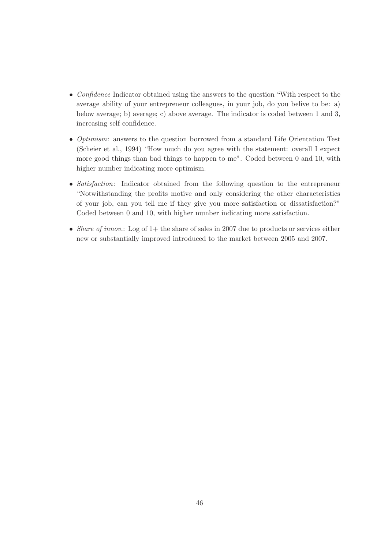- *Confidence* Indicator obtained using the answers to the question "With respect to the average ability of your entrepreneur colleagues, in your job, do you belive to be: a) below average; b) average; c) above average. The indicator is coded between 1 and 3, increasing self confidence.
- *Optimism*: answers to the question borrowed from a standard Life Orientation Test (Scheier et al., 1994) "How much do you agree with the statement: overall I expect more good things than bad things to happen to me". Coded between 0 and 10, with higher number indicating more optimism.
- *Satisfaction*: Indicator obtained from the following question to the entrepreneur "Notwithstanding the profits motive and only considering the other characteristics of your job, can you tell me if they give you more satisfaction or dissatisfaction?" Coded between 0 and 10, with higher number indicating more satisfaction.
- *Share of innov.*: Log of 1+ the share of sales in 2007 due to products or services either new or substantially improved introduced to the market between 2005 and 2007.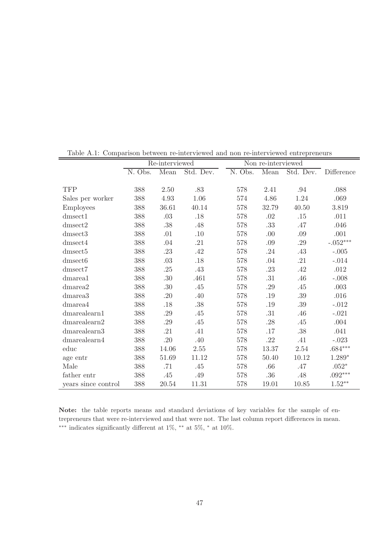|                     | Re-interviewed |         |           | Non re-interviewed |         |           |            |
|---------------------|----------------|---------|-----------|--------------------|---------|-----------|------------|
|                     | N. Obs.        | Mean    | Std. Dev. | N. Obs.            | Mean    | Std. Dev. | Difference |
|                     |                |         |           |                    |         |           |            |
| <b>TFP</b>          | 388            | 2.50    | .83       | 578                | 2.41    | .94       | .088       |
| Sales per worker    | 388            | 4.93    | 1.06      | 574                | 4.86    | 1.24      | .069       |
| <b>Employees</b>    | 388            | 36.61   | 40.14     | 578                | 32.79   | 40.50     | $3.819\,$  |
| dmsect1             | 388            | .03     | .18       | 578                | .02     | .15       | .011       |
| $d$ msect $2$       | 388            | .38     | .48       | 578                | .33     | .47       | .046       |
| dmsect3             | 388            | .01     | .10       | 578                | .00     | .09       | .001       |
| dmsect4             | 388            | .04     | .21       | 578                | .09     | .29       | $-.052***$ |
| ${\rm dmsect5}$     | 388            | .23     | .42       | 578                | .24     | .43       | $-.005$    |
| dmsect6             | 388            | .03     | $.18\,$   | 578                | .04     | .21       | $-.014$    |
| $d$ msect $7$       | 388            | .25     | .43       | 578                | .23     | .42       | .012       |
| dmarea1             | 388            | $.30\,$ | .461      | 578                | $.31\,$ | $.46\,$   | $-.008$    |
| dmarea2             | 388            | .30     | .45       | 578                | .29     | .45       | .003       |
| dmarea <sub>3</sub> | 388            | $.20\,$ | .40       | 578                | $.19\,$ | $.39\,$   | $.016$     |
| dmarea4             | 388            | .18     | .38       | 578                | .19     | $.39\,$   | $-.012$    |
| $d$ marealearn $1$  | 388            | .29     | .45       | 578                | .31     | .46       | $-.021$    |
| $d$ marealearn $2$  | 388            | .29     | .45       | 578                | .28     | $.45$     | $.004\,$   |
| dmarealearn3        | 388            | .21     | .41       | 578                | .17     | $.38\,$   | .041       |
| $d$ marealearn $4$  | 388            | $.20\,$ | .40       | 578                | .22     | .41       | $-.023$    |
| educ                | 388            | 14.06   | $2.55\,$  | 578                | 13.37   | $2.54\,$  | $.684***$  |
| age entr            | 388            | 51.69   | 11.12     | 578                | 50.40   | 10.12     | $1.289*$   |
| Male                | 388            | .71     | .45       | 578                | .66     | $.47$     | $.052*$    |
| father entr         | 388            | .45     | .49       | 578                | .36     | .48       | $.092***$  |
| years since control | 388            | 20.54   | 11.31     | 578                | 19.01   | 10.85     | $1.52***$  |

<span id="page-47-0"></span>Table A.1: Comparison between re-interviewed and non re-interviewed entrepreneurs

Note: the table reports means and standard deviations of key variables for the sample of entrepreneurs that were re-interviewed and that were not. The last column report differences in mean.  $***$  indicates significantly different at 1%, \*\* at 5%, \* at 10%.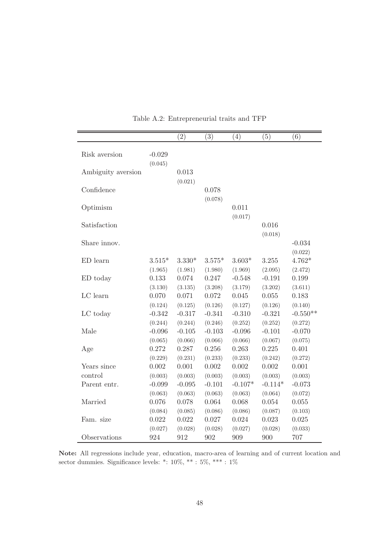|                    |                     | (2)                 | (3)                  | (4)                 | (5)                 | (6)                   |
|--------------------|---------------------|---------------------|----------------------|---------------------|---------------------|-----------------------|
|                    |                     |                     |                      |                     |                     |                       |
| Risk aversion      | $-0.029$            |                     |                      |                     |                     |                       |
|                    | (0.045)             |                     |                      |                     |                     |                       |
| Ambiguity aversion |                     | 0.013               |                      |                     |                     |                       |
|                    |                     | (0.021)             |                      |                     |                     |                       |
| Confidence         |                     |                     | 0.078                |                     |                     |                       |
|                    |                     |                     | (0.078)              |                     |                     |                       |
| Optimism           |                     |                     |                      | 0.011               |                     |                       |
|                    |                     |                     |                      | (0.017)             |                     |                       |
| Satisfaction       |                     |                     |                      |                     | 0.016               |                       |
|                    |                     |                     |                      |                     | (0.018)             |                       |
| Share innov.       |                     |                     |                      |                     |                     | $-0.034$              |
|                    | $3.515*$            | $3.330*$            |                      |                     | 3.255               | (0.022)<br>$4.762*$   |
| ED learn           |                     |                     | $3.575*$             | $3.603*$            |                     |                       |
|                    | (1.965)             | (1.981)<br>0.074    | (1.980)<br>0.247     | (1.969)             | (2.095)             | (2.472)<br>0.199      |
| ED today           | 0.133               |                     |                      | $-0.548$            | $-0.191$            |                       |
| LC learn           | (3.130)<br>0.070    | (3.135)<br>0.071    | (3.208)<br>0.072     | (3.179)<br>0.045    | (3.202)<br>0.055    | (3.611)<br>0.183      |
|                    |                     |                     |                      |                     |                     |                       |
|                    | (0.124)<br>$-0.342$ | (0.125)<br>$-0.317$ | (0.126)<br>$-0.341$  | (0.127)<br>$-0.310$ | (0.126)<br>$-0.321$ | (0.140)<br>$-0.550**$ |
| LC today           |                     |                     |                      |                     |                     |                       |
| Male               | (0.244)             | (0.244)<br>$-0.105$ | (0.246)<br>$-0.103$  | (0.252)<br>$-0.096$ | (0.252)             | (0.272)<br>$-0.070$   |
|                    | $-0.096$            |                     |                      |                     | $-0.101$            |                       |
|                    | (0.065)<br>0.272    | (0.066)<br>0.287    | (0.066)<br>$0.256\,$ | (0.066)<br>0.263    | (0.067)<br>0.225    | (0.075)<br>0.401      |
| Age                |                     |                     |                      |                     |                     |                       |
| Years since        | (0.229)<br>0.002    | (0.231)<br>0.001    | (0.233)<br>0.002     | (0.233)<br>0.002    | (0.242)<br>0.002    | (0.272)<br>0.001      |
| control            |                     |                     |                      | (0.003)             | (0.003)             |                       |
| Parent entr.       | (0.003)<br>$-0.099$ | (0.003)<br>$-0.095$ | (0.003)<br>$-0.101$  | $-0.107*$           | $-0.114*$           | (0.003)<br>$-0.073$   |
|                    |                     |                     |                      |                     |                     |                       |
| Married            | (0.063)<br>0.076    | (0.063)<br>0.078    | (0.063)<br>0.064     | (0.063)<br>0.068    | (0.064)<br>0.054    | (0.072)               |
|                    |                     |                     |                      |                     |                     | 0.055                 |
| Fam. size          | (0.084)<br>0.022    | (0.085)<br>0.022    | (0.086)<br>0.027     | (0.086)<br>0.024    | (0.087)<br>0.023    | (0.103)               |
|                    | (0.027)             | (0.028)             | (0.028)              | (0.027)             | (0.028)             | 0.025<br>(0.033)      |
|                    |                     |                     |                      |                     |                     |                       |
| Observations       | 924                 | 912                 | 902                  | 909                 | 900                 | 707                   |

<span id="page-48-0"></span>Table A.2: Entrepreneurial traits and TFP

Note: All regressions include year, education, macro-area of learning and of current location and sector dummies. Significance levels: \*: 10%, \*\* : 5%, \*\*\* : 1%